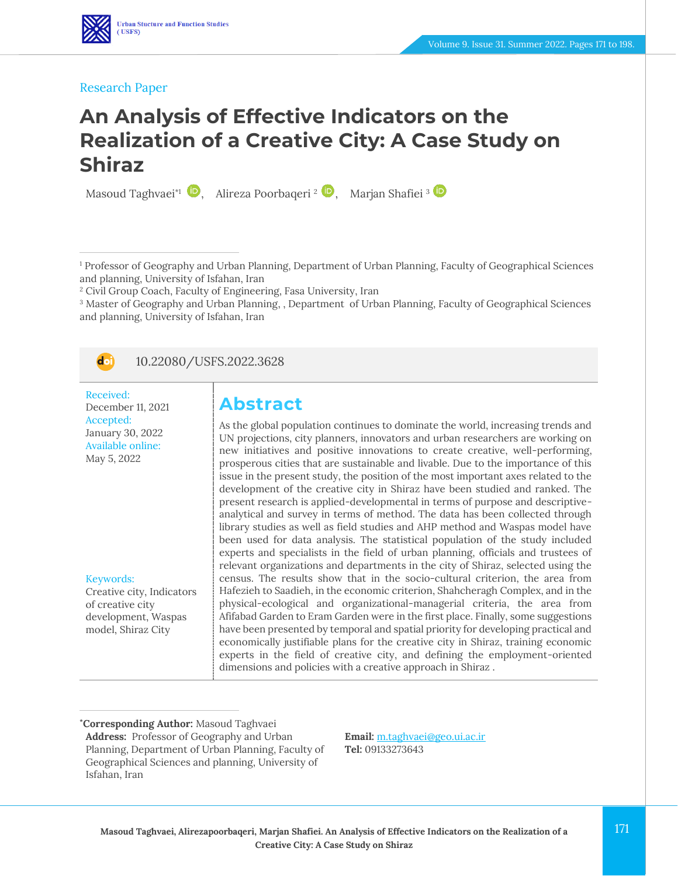

#### Research Paper

## **An Analysis of Effective Indicators on the Realization of a Creative City: A Case Study on Shiraz**

Masoud Taghvaei\*<sup>1</sup> (2)[,](https://www.orcid.org/0000-0003-0864-9325) Alireza Poorbaqeri <sup>2</sup> (2), Marjan Shafiei <sup>3</sup>

<sup>1</sup> Professor of Geography and Urban Planning, Department of Urban Planning, Faculty of Geographical Sciences and planning, University of Isfahan, Iran

<sup>2</sup> Civil Group Coach, Faculty of Engineering, Fasa University, Iran

<sup>3</sup> Master of Geography and Urban Planning, , Department of Urban Planning, Faculty of Geographical Sciences and planning, University of Isfahan, Iran



#### 10.22080/USFS.2022.3628

Received: December 11, 2021 Accepted: January 30, 2022 Available online: May 5, 2022

Keywords:

Creative city, Indicators of creative city development, Waspas model, Shiraz City

## **Abstract**

As the global population continues to dominate the world, increasing trends and UN projections, city planners, innovators and urban researchers are working on new initiatives and positive innovations to create creative, well-performing, prosperous cities that are sustainable and livable. Due to the importance of this issue in the present study, the position of the most important axes related to the development of the creative city in Shiraz have been studied and ranked. The present research is applied-developmental in terms of purpose and descriptiveanalytical and survey in terms of method. The data has been collected through library studies as well as field studies and AHP method and Waspas model have been used for data analysis. The statistical population of the study included experts and specialists in the field of urban planning, officials and trustees of relevant organizations and departments in the city of Shiraz, selected using the census. The results show that in the socio-cultural criterion, the area from Hafezieh to Saadieh, in the economic criterion, Shahcheragh Complex, and in the physical-ecological and organizational-managerial criteria, the area from Afifabad Garden to Eram Garden were in the first place. Finally, some suggestions have been presented by temporal and spatial priority for developing practical and economically justifiable plans for the creative city in Shiraz, training economic experts in the field of creative city, and defining the employment-oriented dimensions and policies with a creative approach in Shiraz .

**\*Corresponding Author:** Masoud Taghvaei **Address:** Professor of Geography and Urban Planning, Department of Urban Planning, Faculty of Geographical Sciences and planning, University of Isfahan, Iran

**Email:** [m.taghvaei@geo.ui.ac.ir](file:///C:/Users/farha/Desktop/UFTS-01-1401/Temp/m.taghvaei@geo.ui.ac.ir)  **Tel:** 09133273643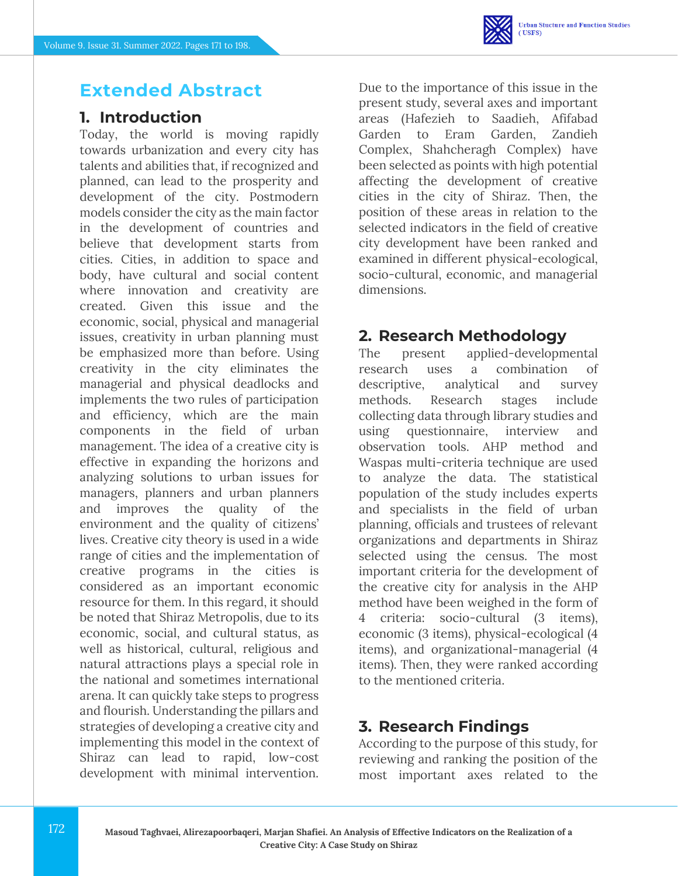## **Extended Abstract**

## **1. Introduction**

Today, the world is moving rapidly towards urbanization and every city has talents and abilities that, if recognized and planned, can lead to the prosperity and development of the city. Postmodern models consider the city as the main factor in the development of countries and believe that development starts from cities. Cities, in addition to space and body, have cultural and social content where innovation and creativity are created. Given this issue and the economic, social, physical and managerial issues, creativity in urban planning must be emphasized more than before. Using creativity in the city eliminates the managerial and physical deadlocks and implements the two rules of participation and efficiency, which are the main components in the field of urban management. The idea of a creative city is effective in expanding the horizons and analyzing solutions to urban issues for managers, planners and urban planners and improves the quality of the environment and the quality of citizens' lives. Creative city theory is used in a wide range of cities and the implementation of creative programs in the cities is considered as an important economic resource for them. In this regard, it should be noted that Shiraz Metropolis, due to its economic, social, and cultural status, as well as historical, cultural, religious and natural attractions plays a special role in the national and sometimes international arena. It can quickly take steps to progress and flourish. Understanding the pillars and strategies of developing a creative city and implementing this model in the context of Shiraz can lead to rapid, low-cost development with minimal intervention.

Due to the importance of this issue in the present study, several axes and important areas (Hafezieh to Saadieh, Afifabad Garden to Eram Garden, Zandieh Complex, Shahcheragh Complex) have been selected as points with high potential affecting the development of creative cities in the city of Shiraz. Then, the position of these areas in relation to the selected indicators in the field of creative city development have been ranked and examined in different physical-ecological, socio-cultural, economic, and managerial dimensions.

## **2. Research Methodology**

The present applied-developmental research uses a combination of descriptive, analytical and survey methods. Research stages include collecting data through library studies and using questionnaire, interview and observation tools. AHP method and Waspas multi-criteria technique are used to analyze the data. The statistical population of the study includes experts and specialists in the field of urban planning, officials and trustees of relevant organizations and departments in Shiraz selected using the census. The most important criteria for the development of the creative city for analysis in the AHP method have been weighed in the form of 4 criteria: socio-cultural (3 items), economic (3 items), physical-ecological (4 items), and organizational-managerial (4 items). Then, they were ranked according to the mentioned criteria.

## **3. Research Findings**

According to the purpose of this study, for reviewing and ranking the position of the most important axes related to the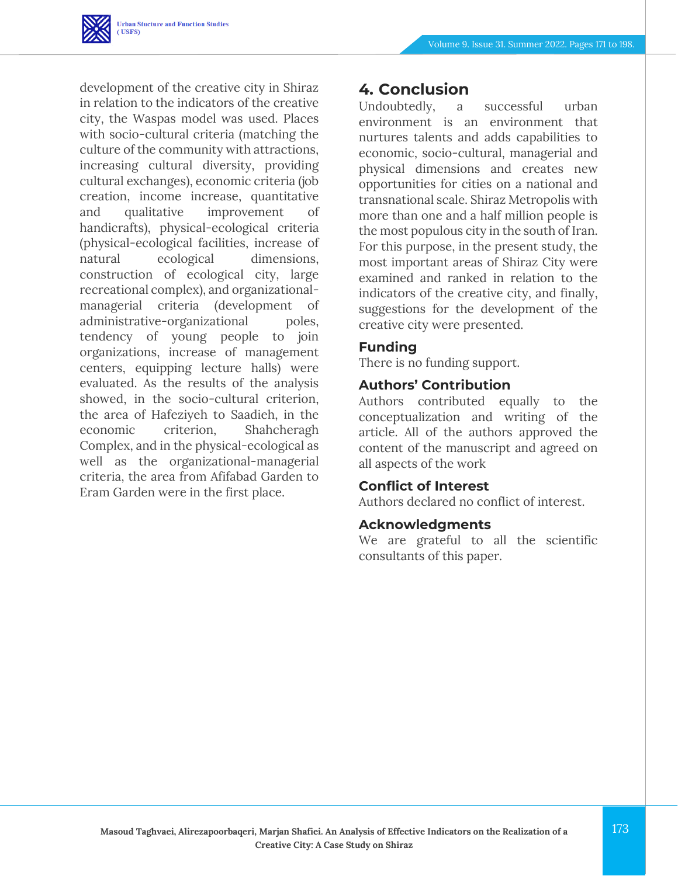

development of the creative city in Shiraz in relation to the indicators of the creative city, the Waspas model was used. Places with socio-cultural criteria (matching the culture of the community with attractions, increasing cultural diversity, providing cultural exchanges), economic criteria (job creation, income increase, quantitative and qualitative improvement of handicrafts), physical-ecological criteria (physical-ecological facilities, increase of natural ecological dimensions, construction of ecological city, large recreational complex), and organizationalmanagerial criteria (development of administrative-organizational poles, tendency of young people to join organizations, increase of management centers, equipping lecture halls) were evaluated. As the results of the analysis showed, in the socio-cultural criterion, the area of Hafeziyeh to Saadieh, in the economic criterion, Shahcheragh Complex, and in the physical-ecological as well as the organizational-managerial criteria, the area from Afifabad Garden to Eram Garden were in the first place.

### **4. Conclusion**

Undoubtedly, a successful urban environment is an environment that nurtures talents and adds capabilities to economic, socio-cultural, managerial and physical dimensions and creates new opportunities for cities on a national and transnational scale. Shiraz Metropolis with more than one and a half million people is the most populous city in the south of Iran. For this purpose, in the present study, the most important areas of Shiraz City were examined and ranked in relation to the indicators of the creative city, and finally, suggestions for the development of the creative city were presented.

#### **Funding**

There is no funding support.

#### **Authors' Contribution**

Authors contributed equally to the conceptualization and writing of the article. All of the authors approved the content of the manuscript and agreed on all aspects of the work

#### **Conflict of Interest**

Authors declared no conflict of interest.

#### **Acknowledgments**

We are grateful to all the scientific consultants of this paper.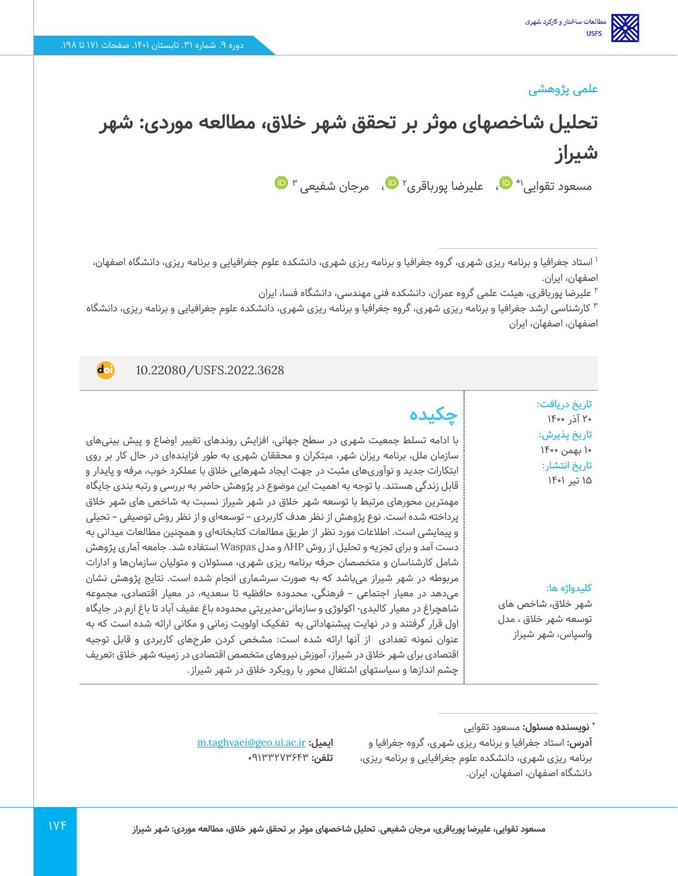### علمی پژوهشی

# **تحلیل شاخصهای موثر بر تحقق شهر خالق، مطالعه موردی: شهر شیراز**

مسعود تقوایی\\* ♥[،](https://www.orcid.org/0000-0003-0864-9325) علیرضا پورباقری۲ ♥، مرجان شفیعی ۳

1 استاد جغرافیا و برنامه ریزی شهری، گروه جغرافیا و برنامه ریزی شهری، دانشکده علوم جغرافیایی و برنامه ریزی، دانشگاه اصفهان، اصفهان، ایران.

2 علیرضا پورباقری، هیئت علمی گروه عمران، دانشکده فنی مهندسی، دانشگاه فسا، ایران

کارشناسی ارشد جغرافیا و برنامه ریزی شهری، گروه جغرافیا و برنامه ریزی شهری، دانشکده علوم جغرافیایی و برنامه ریزی، دانشگاه <sup>3</sup> اصفهان، اصفهان، ایران

10.22080/USFS.2022.3628

**doi** 

تاریخ دریافت: ۲۰ آذر ۱۴۰۰ تاریخ پذیرش : 10 بهمن 1400 تاریخ انتشار: 15 تیر 1401

کلیدواژه ها:

شهر خالق، شاخص های توسعه شهر خالق ، مدل واسپاس، شهر شیراز

**چکیده**

با ادامه تسلط جمعیت شهری در سطح جهانی، افزایش روندهای تغییر اوضاع و پیش بینیهای سازمان ملل، برنامه ریزان شهر، مبتکران و محققان شهری به طور فزایندهای در حال کار بر روی ابتکارات جدید و نوآوری های مثبت در جهت ایجاد شهرهایی خالق با عملکرد خوب، مرفه و پایدار و قابل زندگی هستند. با توجه به اهمیت این موضوع در پژوهش حاضر به بررسی و رتبه بندی جایگاه مهمترین محورهای مرتبط با توسعه شهر خالق در شهر شیراز نسبت به شاخص های شهر خالق پرداخته شده است. نوع پژوهش از نظر هدف کاربردی – توسعهای و از نظر روش توصیفی – تحیلی و پیمایشی است. اطالعات مورد نظر از طریق مطالعات کتابخانهای و همچنین مطالعات میدانی به دست آمد و برای تجزیه و تحلیل از روش AHP و مدل Waspas استفاده شد . جامعه آماری پژوهش شامل کارشناسان و متخصصان حرفه برنامه ریزی شهری، مسئوالن و متولیان سازمانها و ادارات مربوطه در شهر شیراز میباشد که به صورت سرشماری انجام شده است. نتایج پژوهش نشان میدهد در معیار اجتماعی – فرهنگی، محدوده حافظیه تا سعدیه، در معیار اقتصادی، مجموعه شاهچراغ در معیار کالبدی- اکولوژی و سازمانی- مدیریتی محدوده باغ عفیف آباد تا باغ ارم در جایگاه اول قرار گرفتند و در نهایت پیشنهاداتی به تفکیک اولویت زمانی و مکانی ارائه شده است که به عنوان نمونه تعدادی از آنها ارائه شده است: مشخص کردن طرح های کاربردی و قابل توجیه اقتصادی برای شهر خالق در شیراز، آموزش نیروهای متخصص اقتصادی در زمینه شهر خالق ؛تعریف چشم اندازها و سیاستهای اشتغال محور با رویکرد خالق در شهر شیراز .

[m.taghvaei@geo.ui.ac.ir](file:///C:/Users/farha/Desktop/UFTS-01-1401/Temp/m.taghvaei@geo.ui.ac.ir) **:ایمیل تلفن: ٩١٣٣٢٧٣٤٣٣**٠

**<sup>:</sup>** مسعود تقوایی **\* نویسنده مسئول**

**آدرس:** استاد جغرافیا و برنامه ریزی شهری، گروه جغرافیا و برنامه ریزی شهری، دانشکده علوم جغرافیایی و برنامه ریزی، دانشگاه اصفهان، اصفهان، ایران.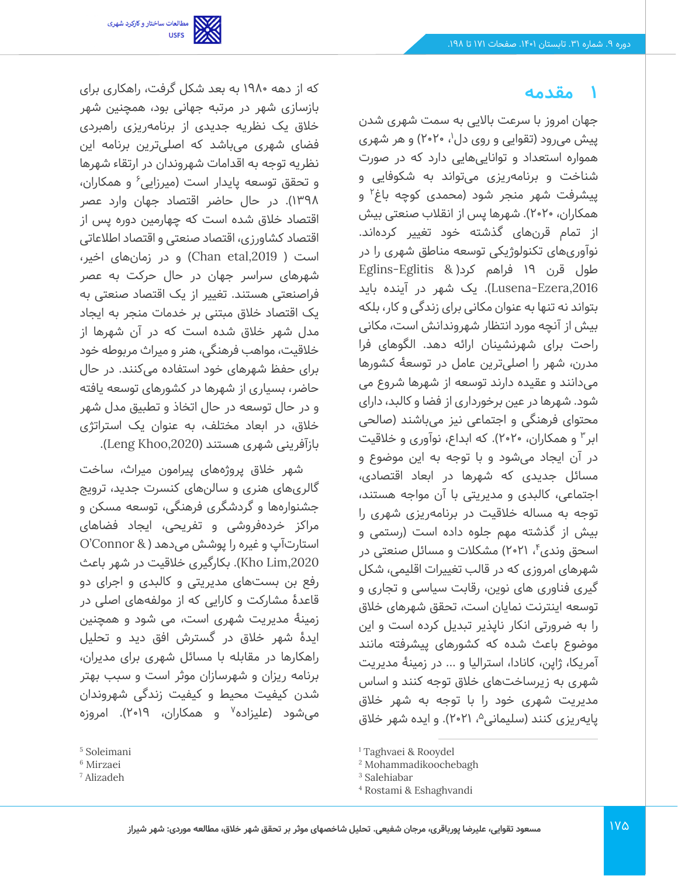

که از دهه 1980 به بعد شکل گرفت، راهکاری برای بازسازی شهر در مرتبه جهانی بود، همچنین شهر خالق یک نظریه جدیدی از برنامهریزی راهبردی فضای شهری می باشد که اصلی ترین برنامه این نظریه توجه به اقدامات شهروندان در ارتقاء شهرها و تحقق توسعه پایدار است (میرزایی<sup>۶</sup> و همکاران، 1398(. در حال حاضر اقتصاد جهان وارد عصر اقتصاد خالق شده است که چهارمین دوره پس از اقتصاد کشاورزی، اقتصاد صنعتی و اقتصاد اطالعاتی است ( Chan etal,2019) و در زمان های اخیر، شهرهای سراسر جهان در حال حرکت به عصر فراصنعتی هستند. تغییر از یک اقتصاد صنعتی به یک اقتصاد خالق مبتنی بر خدمات منجر به ایجاد مدل شهر خالق شده است که در آن شهرها از خالقیت، مواهب فرهنگی، هنر و میراث مربوطه خود برای حفظ شهرهای خود استفاده می کنند. در حال حاضر، بسیاری از شهرها در کشورهای توسعه یافته و در حال توسعه در حال اتخاذ و تطبیق مدل شهر خالق، در ابعاد مختلف، به عنوان یک استراتژی بازآفرینی شهری هستند (Leng Khoo,2020).

شهر خالق پروژه های پیرامون میراث، ساخت گالریهای هنری و سالن های کنسرت جدید، ترویج جشنوارهها و گردشگری فرهنگی، توسعه مسکن و مراکز خرده فروشی و تفریحی، ایجاد فضاهای استارتآپ و غیره را پوشش می دهد ) & Connor'O ,2020Lim Kho). بکارگیری خالقیت در شهر باعث رفع بن بست های مدیریتی و کالبدی و اجرای دو قاعدۀ مشارکت و کارایی که از مولفه های اصلی در زمینۀ مدیریت شهری است، می شود و همچنین ایدۀ شهر خالق در گسترش افق دید و تحلیل راهکارها در مقابله با مسائل شهری برای مدیران، برنامه ریزان و شهرسازان موثر است و سبب بهتر شدن کیفیت محیط و کیفیت زندگی شهروندان میشود (علیزاده<sup>۷</sup> و همکاران، ۲۰۱۹). امروزه

### **1 مقدمه**

جهان امروز با سرعت باالیی به سمت شهری شدن پیش میرود (تقوایی و روی دل<sup>۱</sup>، ۲۰۲۰) و هر شهری همواره استعداد و توانایی هایی دارد که در صورت شناخت و برنامه ریزی می تواند به شکوفایی و پیشرفت شهر منجر شود (محمدی کوچه باغ<sup>۲</sup> و همکاران، 2020(. شهرها پس از انقالب صنعتی بیش از تمام قرن های گذشته خود تغییر کرده اند. نوآوری های تکنولوژیکی توسعه مناطق شهری را در طول قرن 19 فراهم کرد) & Eglitis-Eglins ,2016Ezera-Lusena). یک شهر در آینده باید بتواند نه تنها به عنوان مکانی برای زندگی و کار، بلکه بیش از آنچه مورد انتظار شهروندانش است، مکانی راحت برای شهرنشینان ارائه دهد. الگوهای فرا مدرن، شهر را اصلی ترین عامل در توسعۀ کشورها میدانند و عقیده دارند توسعه از شهرها شروع می شود. شهرها در عین برخورداری از فضا و کالبد، دارای محتوای فرهنگی و اجتماعی نیز میباشند )صالحی ابر۳ و همکاران، ۲۰۲۰). که ابداع، نوآوری و خلاقیت در آن ایجاد می شود و با توجه به این موضوع و مسائل جدیدی که شهرها در ابعاد اقتصادی، اجتماعی، کالبدی و مدیریتی با آن مواجه هستند، توجه به مساله خالقیت در برنامهریزی شهری را بیش از گذشته مهم جلوه داده است )رستمی و اسحق وندی۴، ۲۰۲۱) مشکلات و مسائل صنعتی در شهرهای امروزی که در قالب تغییرات اقلیمی، شکل گیری فناوری های نوین، رقابت سیاسی و تجاری و توسعه اینترنت نمایان است، تحقق شهرهای خالق را به ضرورتی انکار ناپذیر تبدیل کرده است و این موضوع باعث شده که کشورهای پیشرفته مانند آمریکا، ژاپن، کانادا، استرالیا و ... در زمینۀ مدیریت شهری به زیرساخت های خالق توجه کنند و اساس مدیریت شهری خود را با توجه به شهر خالق یایه ریزی کنند (سلیمانی<sup>م</sup>، ۲۰۲۱). و ایده شهر خلاق

<sup>5</sup> Soleimani

<sup>6</sup> Mirzaei

<sup>7</sup> Alizadeh

<sup>1</sup> Taghvaei & Rooydel

<sup>2</sup> Mohammadikoochebagh

<sup>3</sup> Salehiabar

<sup>4</sup> Rostami & Eshaghvandi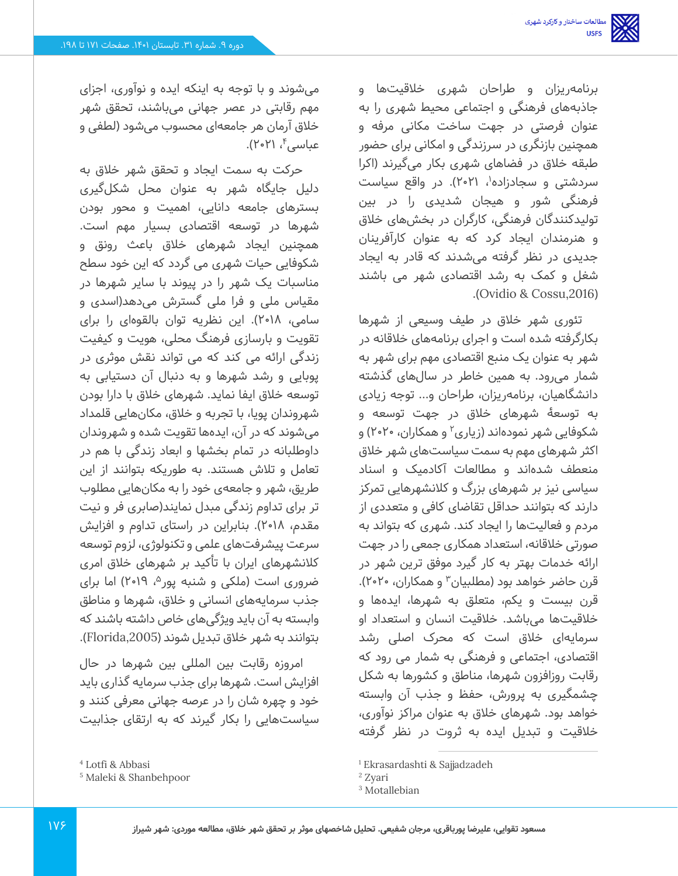برنامهریزان و طراحان شهری خالقیت ها و جاذبه های فرهنگی و اجتماعی محیط شهری را به عنوان فرصتی در جهت ساخت مکانی مرفه و همچنین بازنگری در سرزندگی و امکانی برای حضور طبقه خالق در فضاهای شهری بکار می گیرند )اکرا سردشتی و سجادزاده'، ۲۱•۲). در واقع سیاست فرهنگی شور و هیجان شدیدی را در بین تولیدکنندگان فرهنگی، کارگران در بخش های خالق و هنرمندان ایجاد کرد که به عنوان کارآفرینان جدیدی در نظر گرفته می شدند که قادر به ایجاد شغل و کمک به رشد اقتصادی شهر می باشند .)Ovidio & Cossu,2016(

تئوری شهر خالق در طیف وسیعی از شهرها بکارگرفته شده است و اجرای برنامه های خالقانه در شهر به عنوان یک منبع اقتصادی مهم برای شهر به شمار می رود. به همین خاطر در سال های گذشته دانشگاهیان، برنامه ریزان، طراحان و... توجه زیادی به توسعۀ شهرهای خالق در جهت توسعه و شکوفایی شهر نمودهاند (زیاری<sup>۲</sup> و همکاران، ۲۰۲۰) و اکثر شهرهای مهم به سمت سیاستهای شهر خالق منعطف شدهاند و مطالعات آکادمیک و اسناد سیاسی نیز بر شهرهای بزرگ و کالنشهرهایی تمرکز دارند که بتوانند حداقل تقاضای کافی و متعددی از مردم و فعالیت ها را ایجاد کند. شهری که بتواند به صورتی خالقانه، استعداد همکاری جمعی را در جهت ارائه خدمات بهتر به کار گیرد موفق ترین شهر در قرن حاضر خواهد بود (مطلبیان<sup>۳</sup> و همکاران، ۲۰۲۰). قرن بیست و یکم، متعلق به شهرها، ایدهها و خالقیتها می باشد. خالقیت انسان و استعداد او سرمایهای خالق است که محرک اصلی رشد اقتصادی، اجتماعی و فرهنگی به شمار می رود که رقابت روزافزون شهرها، مناطق و کشورها به شکل چشمگیری به پرورش، حفظ و جذب آن وابسته خواهد بود. شهرهای خالق به عنوان مراکز نوآوری، خالقیت و تبدیل ایده به ثروت در نظر گرفته

میشوند و با توجه به اینکه ایده و نوآوری، اجزای مهم رقابتی در عصر جهانی میباشند، تحقق شهر خلاق آرمان هر جامعهای محسوب میشود (لطفی و عباسی ٔ، ۲۱۰۲۱).

حرکت به سمت ایجاد و تحقق شهر خالق به دلیل جایگاه شهر به عنوان محل شکلگیری بسترهای جامعه دانایی، اهمیت و محور بودن شهرها در توسعه اقتصادی بسیار مهم است. همچنین ایجاد شهرهای خالق باعث رونق و شکوفایی حیات شهری می گردد که این خود سطح مناسبات یک شهر را در پیوند با سایر شهرها در مقیاس ملی و فرا ملی گسترش می دهد)اسدی و سامی، ۲۰۱۸). این نظریه توان بالقوهای را برای تقویت و بارسازی فرهنگ محلی، هویت و کیفیت زندگی ارائه می کند که می تواند نقش موثری در پوبایی و رشد شهرها و به دنبال آن دستیابی به توسعه خالق ایفا نماید. شهرهای خالق با دارا بودن شهروندان پویا، با تجربه و خالق، مکان هایی قلمداد میشوند که در آن، ایده ها تقویت شده و شهروندان داوطلبانه در تمام بخشها و ابعاد زندگی با هم در تعامل و تالش هستند. به طوریکه بتوانند از این طریق، شهر و جامعهی خود را به مکان هایی مطلوب تر برای تداوم زندگی مبدل نمایند(صابری فر و نیت مقدم، 2018(. بنابراین در راستای تداوم و افزایش سرعت پیشرفت های علمی و تکنولوژی، لزوم توسعه کالنشهرهای ایران با تأکید بر شهرهای خالق امری ضروری است (ملکی و شنبه پور۵، ۲۰۱۹) اما برای جذب سرمایه های انسانی و خالق، شهرها و مناطق وابسته به آن باید ویژگی های خاص داشته باشند که بتوانند به شهر خالق تبدیل شوند ),2005Florida).

امروزه رقابت بین المللی بین شهرها در حال افزایش است. شهرها برای جذب سرمایه گذاری باید خود و چهره شان را در عرصه جهانی معرفی کنند و سیاستهایی را بکار گیرند که به ارتقای جذابیت

<sup>1</sup> Ekrasardashti & Sajjadzadeh

<sup>2</sup> Zyari

<sup>3</sup> Motallebian

<sup>4</sup> Lotfi & Abbasi

<sup>5</sup> Maleki & Shanbehpoor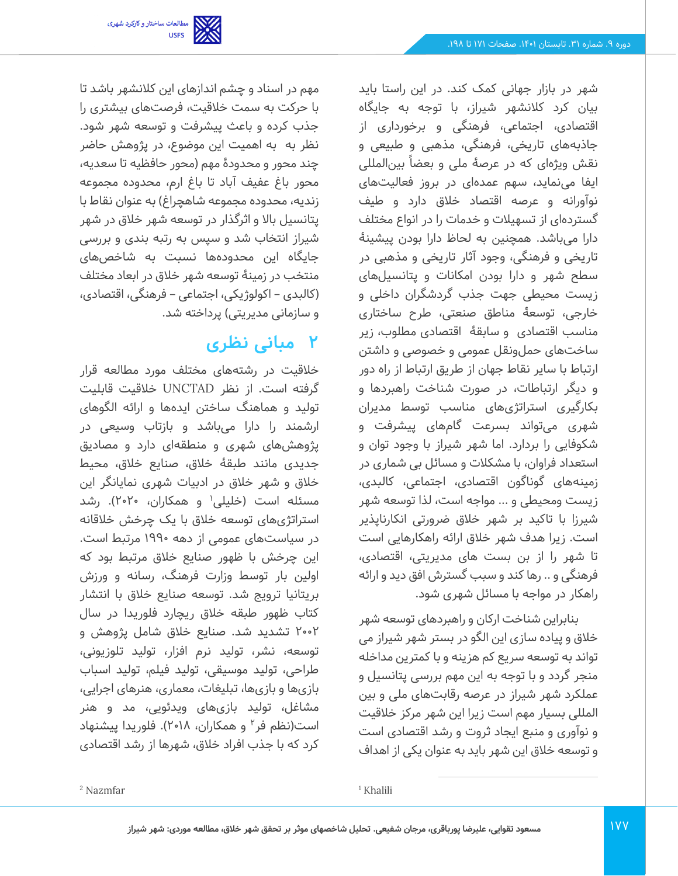شهر در بازار جهانی کمک کند. در این راستا باید بیان کرد کالنشهر شیراز، با توجه به جایگاه اقتصادی، اجتماعی، فرهنگی و بر خورداری از جاذبه های تاریخی، فرهنگی، مذهبی و طبیعی و نقش ویژهای که در عرصۀ ملی و بعضاً بینالمللی ایفا می نماید، سهم عمده ای در بروز فعالیت های نوآورانه و عرصه اقتصاد خالق دارد و طیف گستردهای از تسهیلات و خدمات را در انواع مختلف دارا میباشد. همچنین به لحاظ دارا بودن پیشینۀ تاریخی و فرهنگی، وجود آثار تاریخی و مذهبی در سطح شهر و دارا بودن امکانات و پتانسیل های زیست محیطی جهت جذب گردشگران داخلی و خارجی، توسعۀ مناطق صنعتی، طرح ساختاری مناسب اقتصادی و سابقۀ اقتصادی مطلوب، زیر ساخت های حملو نقل عمومی و خصوصی و داشتن ارتباط با سایر نقاط جهان از طریق ارتباط از راه دور و دیگر ارتباطات، در صورت شناخت راهبردها و بکارگیری استراتژیهای مناسب توسط مدیران شهری می تواند بسرعت گامهای پیشرفت و شکوفایی را بردارد. اما شهر شیراز با وجود توان و استعداد فراوان، با مشکالت و مسائل بی شماری در زمینههای گوناگون اقتصادی، اجتماعی، کالبدی، زیست ومحیطی و ... مواجه است، لذا توسعه شهر شیرزا با تاکید بر شهر خالق ضرورتی انکارناپذیر است. زیرا هدف شهر خالق ارائه راهکارهایی است تا شهر را از بن بست های مدیریتی، اقتصادی، فرهنگی و .. رها کند و سبب گسترش افق دید و ارائه راهکار در مواجه با مسائل شهری شود.

بنابراین شناخت ارکان و راهبردهای توسعه شهر خالق و پیاده سازی این الگو در بستر شهر شیراز می تواند به توسعه سریع کم هزینه و با کمترین مداخله منجر گردد و با توجه به این مهم بررسی پتانسیل و عملکرد شهر شیراز در عرصه رقابت های ملی و بین المللی بسیار مهم است زیرا این شهر مرکز خالقیت و نوآوری و منبع ایجاد ثروت و رشد اقتصادی است و توسعه خالق این شهر باید به عنوان یکی از اهداف

مهم در اسناد و چشم اندازهای این کالنشهر باشد تا با حرکت به سمت خالقیت، فرصت های بیشتری را جذب کرده و باعث پیشرفت و توسعه شهر شود. نظر به به اهمیت این موضوع، در پژوهش حاضر چند محور و محدودۀ مهم )محور حافظیه تا سعدیه، محور باغ عفیف آباد تا باغ ارم، محدوده مجموعه زندیه، محدوده مجموعه شاهچراغ( به عنوان نقاط با پتانسیل باال و اثرگذار در توسعه شهر خالق در شهر شیراز انتخاب شد و سپس به رتبه بندی و بررسی جایگاه این محدودهها نسبت به شاخصهای منتخب در زمینۀ توسعه شهر خالق در ابعاد مختلف )کالبدی – اکولوژیکی، اجتماعی – فرهنگی، اقتصادی، و سازمانی مدیریتی) پرداخته شد.

مطالعات ساختار و کارکرد شهری<br>USFS

## **2 مبانی نظری**

خالقیت در رشتههای مختلف مورد مطالعه قرار گرفته است. از نظر UNCTAD خالقیت قابلیت تولید و هماهنگ ساختن ایدهها و ارائه الگوهای ارشمند را دارا می باشد و بازتاب وسیعی در پژوهش های شهری و منطقهای دارد و مصادیق جدیدی مانند طبقۀ خالق، صنایع خالق، محیط خالق و شهر خالق در ادبیات شهری نمایانگر این مسئله است (خلیلی' و همکاران، ۲۰۲۰). رشد استراتژیهای توسعه خالق با یک چرخش خالقانه در سیاست های عمومی از دهه 1990 مرتبط است. این چرخش با ظهور صنایع خالق مرتبط بود که اولین بار توسط وزارت فرهنگ، رسانه و ورزش بریتانیا تر ویج شد. توسعه صنایع خالق با انتشار کتاب ظهور طبقه خالق ریچارد فلوریدا در سال 2002 تشدید شد. صنایع خالق شامل پژوهش و توسعه، نشر، تولید نرم افزار، تولید تلوزیونی، طراحی، تولید موسیقی، تولید فیلم، تولید اسباب بازیها و بازیها، تبلیغات، معماری، هنرهای اجرایی، مشاغل، تولید بازی های ویدئویی، مد و هنر است(نظم فر<sup>۲</sup> و همکاران، ۲۰۱۸). فلوریدا پیشنهاد کرد که با جذب افراد خالق، شهرها از رشد اقتصادی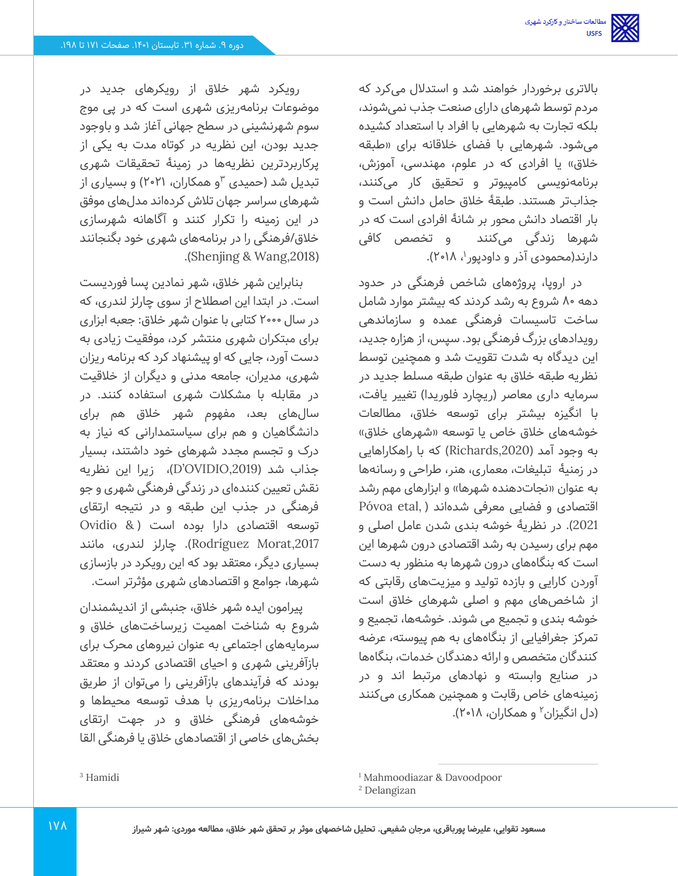باالتری برخوردار خواهند شد و استدالل می کرد که مردم توسط شهرهای دارای صنعت جذب نمی شوند، بلکه تجارت به شهرهایی با افراد با استعداد کشیده میشود. شهرهایی با فضای خلاقانه برای «طبقه خلاق» یا افرادی که در علوم، مهندسی، آموزش، برنامهنویسی کامپیوتر و تحقیق کار می کنند، جذابتر هستند. طبقۀ خالق حامل دانش است و بار اقتصاد دانش محور بر شانۀ افرادی است که در شهرها زندگی می کنند و تخصص کافی دارند(محمودی آذر و داودپور ۱۸ ۲۰۱۸).

در اروپا، پروژه های شاخص فرهنگی در حدود دهه 80 شروع به رشد کردند که بیشتر موارد شامل ساخت تاسیسات فرهنگی عمده و سازماندهی رویدادهای بزرگ فرهنگی بود. سپس، از هزاره جدید، این دیدگاه به شدت تقویت شد و همچنین توسط نظریه طبقه خالق به عنوان طبقه مسلط جدید در سرمایه داری معاصر (ریچارد فلوریدا) تغییر یافت، با انگیزه بیشتر برای توسعه خالق، مطالعات خوشههای خلاق خاص یا توسعه «شهرهای خلاق» به وجود آمد ),2020Richards )که با راهکاراهایی در زمنیۀ تبلیغات، معماری، هنر، طراحی و رسانهها به عنوان «نجاتدهنده شهرها» و ابزارهای مهم رشد Póvoa etal, ) اقتصادی و فضایی معرفی شدهاند 2021(. در نظریۀ خوشه بندی شدن عامل اصلی و مهم برای رسیدن به رشد اقتصادی درون شهرها این است که بنگاههای درون شهرها به منظور به دست آوردن کارایی و بازده تولید و میزیت های رقابتی که از شاخص های مهم و اصلی شهرهای خالق است خوشه بندی و تجمیع می شوند. خوشه ها، تجمیع و تمرکز جغرافیایی از بنگاه های به هم پیوسته، عرضه کنندگان متخصص و ارائه دهندگان خدمات، بنگاه ها در صنایع وابسته و نهادهای مرتبط اند و در زمینههای خاص رقابت و همچنین همکاری می کنند (دل انگیزان<sup>۲</sup> و همکاران، ۲۰۱۸).

رویکرد شهر خالق از رویکرهای جدید در موضوعات برنامه ریزی شهری است که در پی موج سوم شهرنشینی در سطح جهانی آغاز شد و باوجود جدید بودن، این نظریه در کوتاه مدت به یکی از پرکاربردترین نظریه ها در زمینۀ تحقیقات شهری تبدیل شد (حمیدی <sup>۳</sup>و همکاران، ۲۱۰۲۱) و بسیاری از شهرهای سراسر جهان تالش کرده اند مدل های موفق در این زمینه را تکرار کنند و آگاهانه شهرسازی خالق/فرهنگی را در برنامههای شهری خود بگنجانند .(Shenjing & Wang, 2018).

بنابراین شهر خالق، شهر نمادین پسا فوردیست است. در ابتدا این اصطالح از سوی چارلز لندری، که در سال 2000 کتابی با عنوان شهر خالق: جعبه ابزاری برای مبتکران شهری منتشر کرد، موفقیت زیادی به دست آورد، جایی که او پیشنهاد کرد که برنامه ریزان شهری، مدیران، جامعه مدنی و دیگران از خلاقیت در مقابله با مشکالت شهری استفاده کنند. در سال های بعد، مفهوم شهر خالق هم برای دانشگاهیان و هم برای سیاستمدارانی که نیاز به درک و تجسم مجدد شهرهای خود داشتند، بسیار جذاب شد ) ,2019OVIDIO'D)، زیرا این نظریه نقش تعیین کنندهای در زندگی فر هنگی شهری و جو فرهنگی در جذب این طبقه و در نتیجه ارتقای توسعه اقتصادی دارا بوده است ) & Ovidio Rodríguez Morat,2017). چارلز لندری، مانند بسیاری دیگر، معتقد بود که این رویکرد در بازسازی شهرها، جوامع و اقتصادهای شهری مؤثرتر است.

پیرامون ایده شهر خالق، جنبشی از اندیشمندان شروع به شناخت اهمیت زیرساخت های خالق و سرمایههای اجتماعی به عنوان نیروهای محرک برای بازآفرینی شهری و احیای اقتصادی کردند و معتقد بودند که فرآیندهای بازآفرینی را می توان از طریق مداخلات برنامهریزی با هدف توسعه محیطها و خوشههای فرهنگی خالق و در جهت ارتقای بخشهای خاصی از اقتصادهای خلاق یا فرهنگی القا

<sup>1</sup> Mahmoodiazar & Davoodpoor

<sup>2</sup> Delangizan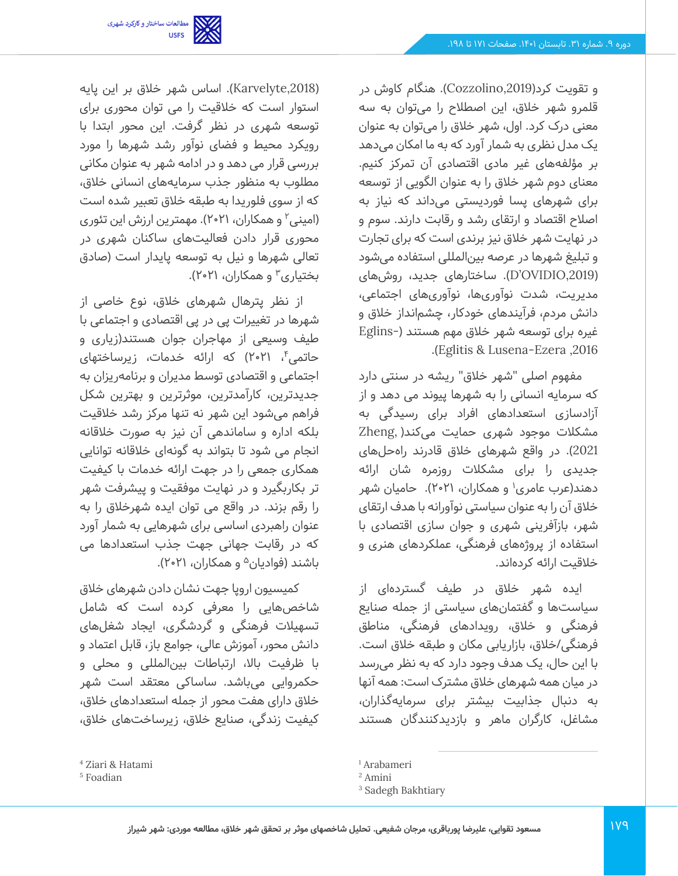و تقویت کرد),2019Cozzolino). هنگام کاوش در قلمرو شهر خالق، این اصطالح را می توان به سه معنی درک کرد. اول، شهر خالق را می توان به عنوان یک مدل نظری به شمار آورد که به ما امکان می دهد بر مؤلفه های غیر مادی اقتصادی آن تمرکز کنیم. معنای دوم شهر خالق را به عنوان الگویی از توسعه برای شهرهای پسا فوردیستی می داند که نیاز به اصالح اقتصاد و ارتقای رشد و رقابت دارند. سوم و در نهایت شهر خالق نیز برندی است که برای تجارت و تبلیغ شهرها در عرصه بین|لمللی استفاده می شود ),2019OVIDIO'D). ساختارهای جدید، روش های مدیریت، شدت نوآوری ها، نوآوری های اجتماعی، دانش مردم، فرآیندهای خودکار، چشم انداز خالق و غیره برای توسعه شهر خالق مهم هستند )-Eglins .)Eglitis & Lusena-Ezera ,2016

مفهوم اصلی "شهر خالق" ریشه در سنتی دارد که سرمایه انسانی را به شهرها پیوند می دهد و از آزادسازی استعدادهای افراد برای رسیدگی به مشکالت موجود شهری حمایت می کند) ,Zheng 2021). در واقع شهرهای خلاق قادرند راهحلهای جدیدی را برای مشکالت روزمره شان ارائه دهند(عرب عامری<sup>۱</sup> و همکاران، ۲۰۲۱). حامیان شهر خالق آن را به عنوان سیاستی نوآورانه با هدف ارتقای شهر، بازآفرینی شهری و جوان سازی اقتصادی با استفاده از پروژه های فرهنگی، عملکردهای هنری و خالقیت ارائه کرده اند.

ایده شهر خلاق در طیف گستردهای از سیاستها و گفتمان های سیاستی از جمله صنایع فرهنگی و خالق، رویدادهای فرهنگی، مناطق فرهنگی/خالق، بازاریابی مکان و طبقه خالق است. با این حال، یک هدف وجود دارد که به نظر می رسد در میان همه شهرهای خالق مشترک است: همه آنها به دنبال جذابیت بیشتر برای سرمایه گذاران، مشاغل، کارگران ماهر و بازدیدکنندگان هستند



),2018Karvelyte). اساس شهر خالق بر این پایه استوار است که خالقیت را می توان محوری برای توسعه شهری در نظر گرفت. این محور ابتدا با رویکرد محیط و فضای نوآور رشد شهرها را مورد بررسی قرار می دهد و در ادامه شهر به عنوان مکانی مطلوب به منظور جذب سرمایههای انسانی خالق، که از سوی فلوریدا به طبقه خالق تعبیر شده است (امینی<sup>۲</sup> و همکاران، ۲۱•۲). مهمترین ارزش این تئوری محوری قرار دادن فعالیت های ساکنان شهری در تعالی شهرها و نیل به توسعه پایدار است )صادق بختیاری۳ و همکاران، ۲۱۰۲۱).

از نظر پترهال شهرهای خلاق، نوع خاصی از شهرها در تغییرات پی در پی اقتصادی و اجتماعی با طیف وسیعی از مهاجران جوان هستند)زیاری و حاتمی ٔ، ۲۰۲۱) که ارائه خدمات، زیرساختهای اجتماعی و اقتصادی توسط مدیران و برنامه ریزان به جدیدترین، کارآمدترین، موثرترین و بهترین شکل فراهم میشود این شهر نه تنها مرکز رشد خلاقیت بلکه اداره و ساماندهی آن نیز به صورت خالقانه انجام می شود تا بتواند به گونهای خلاقانه توانایی همکاری جمعی را در جهت ارائه خدمات با کیفیت تر بکاربگیرد و در نهایت موفقیت و پیشرفت شهر را رقم بزند. در واقع می توان ایده شهرخالق را به عنوان راهبردی اساسی برای شهرهایی به شمار آورد که در رقابت جهانی جهت جذب استعدادها می باشند (فوادیان<sup>۵</sup> و همکاران، ۲۱**۰**۲۱).

کمیسیون اروپا جهت نشان دادن شهرهای خالق شاخصهایی را معرفی کرده است که شامل تسهیالت فرهنگی و گردشگری، ایجاد شغلهای دانش محور، آموزش عالی، جوامع باز، قابل اعتماد و با ظرفیت باال، ارتباطات بینالمللی و محلی و حکمروایی می باشد. ساساکی معتقد است شهر خالق دارای هفت محور از جمله استعدادهای خالق، کیفیت زندگی، صنایع خالق، زیرساخت های خالق،

<sup>1</sup> Arabameri

<sup>2</sup> Amini

<sup>&</sup>lt;sup>3</sup> Sadegh Bakhtiary

<sup>4</sup> Ziari & Hatami

<sup>5</sup> Foadian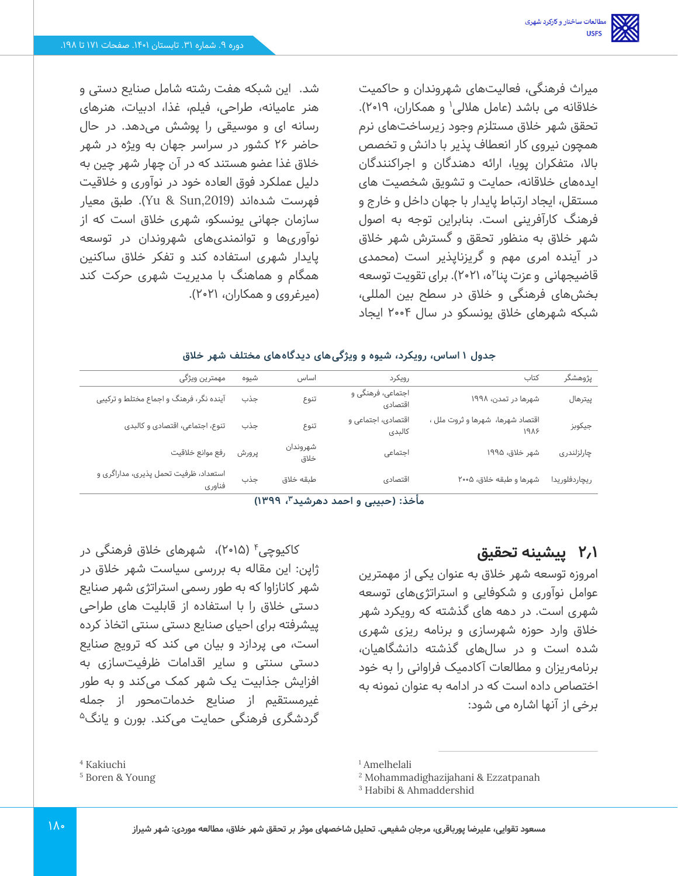میراث فرهنگی، فعالیت های شهروندان و حاکمیت خلاقانه می باشد (عامل هلالی' و همکاران، ۲۰۱۹). تحقق شهر خالق مستلزم وجود زیرساخت های نرم همچون نیروی کار انعطاف پذیر با دانش و تخصص باال، متفکران پویا، ارائه دهندگان و اجراکنندگان ایده های خالقانه، حمایت و تشویق شخصیت های مستقل، ایجاد ارتباط پایدار با جهان داخل و خارج و فرهنگ کارآفرینی است. بنابراین توجه به اصول شهر خالق به منظور تحقق و گسترش شهر خالق در آینده امری مهم و گریزناپذیر است )محمدی قاضیجهانی و عزت پنا۲م، ۲۱-۲). برای تقویت توسعه بخش های فرهنگی و خالق در سطح بین المللی، شبکه شهرهای خالق یونسکو در سال 2004 ایجاد

شد. این شبکه هفت رشته شامل صنایع دستی و هنر عامیانه، طراحی، فیلم، غذا، ادبیات، هنرهای رسانه ای و موسیقی را پوشش می دهد. در حال حاضر 26 کشور در سراسر جهان به ویژه در شهر خالق غذا عضو هستند که در آن چهار شهر چین به دلیل عملکرد فوق العاده خود در نوآوری و خالقیت فهرست شدهاند ),2019Sun & Yu). طبق معیار سازمان جهانی یونسکو، شهری خالق است که از نوآوری ها و توانمندیهای شهروندان در توسعه پایدار شهری استفاده کند و تفکر خالق ساکنین همگام و هماهنگ با مدیریت شهری حرکت کند )میرغروی و همکاران، 2021(.

#### **جدول 1 اساس، رویکرد، شیوه و ویژگی های دیدگاه های مختلف شهر خالق**

| مهمترين ويژگى                           |        | شيوه  | اساس             | رويكرد                       | كتاب                                     | پژوهشگر       |
|-----------------------------------------|--------|-------|------------------|------------------------------|------------------------------------------|---------------|
| آینده نگر، فرهنگ و اجماع مختلط و ترکیبی |        | جذب   | تنوع             | اجتماعی، فرهنگی و<br>اقتصادي | شهرها در تمدن، ۱۹۹۸                      | ييترهال       |
| تنوع، اجتماعی، اقتصادی و کالبدی         |        | جذب   | تنوع             | اقتصادی، اجتماعی و<br>كالبدى | اقتصاد شهرها، شهرها و ثروت ملل ،<br>1918 | جيكوبز        |
| رفع موانع خلاقيت                        |        | پرورش | شهروندان<br>خلاق | اجتماعى                      | شهر خلاق، ۱۹۹۵                           | چارلزلندری    |
| استعداد، ظرفیت تحمل پذیری، مداراگری و   | فناوري | جذب   | طبقه خلاق        | اقتصادي                      | شهرها و طبقه خلاق، ۰۵ه۲                  | ريچاردفلوريدا |

**، 1399( <sup>3</sup> مأخذ: )حبیبی و احمد دهرشید** 

### **2.1 پیشینه تحقیق**

امروزه توسعه شهر خالق به عنوان یکی از مهمترین عوامل نوآوری و شکوفایی و استراتژیهای توسعه شهری است. در دهه های گذشته که رویکرد شهر خالق وارد حوزه شهرسازی و برنامه ریزی شهری شده است و در سال های گذشته دانشگاهیان، برنامهریزان و مطالعات آکادمیک فراوانی را به خود اختصاص داده است که در ادامه به عنوان نمونه به برخی از آنها اشاره می شود:

کاکیوچی<sup>۴</sup> (۲۰۱۵)، شهرهای خلاق فرهنگی در ژاپن: این مقاله به بررسی سیاست شهر خالق در شهر کانازاوا که به طور رسمی استراتژی شهر صنایع دستی خالق را با استفاده از قابلیت های طراحی پیشرفته برای احیای صنایع دستی سنتی اتخاذ کرده است، می پردازد و بیان می کند که ترویج صنایع دستی سنتی و سایر اقدامات ظرفیت سازی به افزایش جذابیت یک شهر کمک می کند و به طور غیرمستقیم از صنایع خدماتمحور از جمله گردشگری فرهنگی حمایت میکند. بورن و یانگ<sup>۵</sup>

<sup>4</sup> Kakiuchi

<sup>5</sup> Boren & Young

<sup>1</sup> Amelhelali

<sup>2</sup> Mohammadighazijahani & Ezzatpanah

<sup>3</sup> Habibi & Ahmaddershid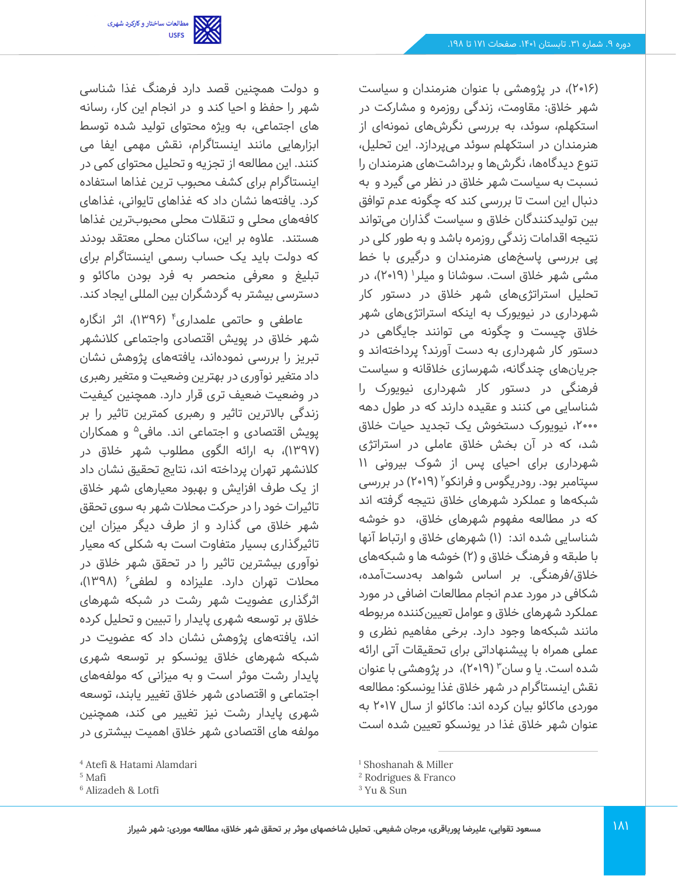)2016(، در پژوهشی با عنوان هنرمندان و سیاست شهر خالق: مقاومت، زندگی روزمره و مشارکت در استکهلم، سوئد، به بررسی نگرش های نمونه ای از هنرمندان در استکهلم سوئد می پردازد. این تحلیل، تنوع دیدگاهها، نگرشها و برداشتهای هنرمندان را نسبت به سیاست شهر خالق در نظر می گیرد و به دنبال این است تا بررسی کند که چگونه عدم توافق بین تولیدکنندگان خالق و سیاست گذاران می تواند نتیجه اقدامات زندگی روزمره باشد و به طور کلی در پی بررسی پاسخ های هنرمندان و درگیری با خط مشی شهر خلاق است. سوشانا و میلر<sup>۱</sup> (۲۰۱۹)، در تحلیل استراتژیهای شهر خالق در دستور کار شهرداری در نیویورک به اینکه استراتژیهای شهر خالق چیست و چگونه می توانند جایگاهی در دستور کار شهرداری به دست آورند؟ پرداخته اند و جریانهای چندگانه، شهرسازی خلاقانه و سیاست فرهنگی در دستور کار شهرداری نیویورک را شناسایی می کنند و عقیده دارند که در طول دهه ،2000 نیویورک دستخوش یک تجدید حیات خالق شد، که در آن بخش خالق عاملی در استراتژی شهرداری برای احیای پس از شوک بیرونی 11 سپتامبر بود. رودریگوس و فرانکو<sup>۲</sup> (۲۰۱۹) در بررسی شبکهها و عملکرد شهرهای خالق نتیجه گرفته اند که در مطالعه مفهوم شهرهای خلاق، دو خوشه شناسایی شده اند: (۱) شهرهای خلاق و ارتباط آنها با طبقه و فرهنگ خالق و )2( خوشه ها و شبکههای خالق/فرهنگی. بر اساس شواهد به دست آمده، شکافی در مورد عدم انجام مطالعات اضافی در مورد عملکرد شهرهای خالق و عوامل تعیینکننده مربوطه مانند شبکهها وجود دارد. برخی مفاهیم نظری و عملی همراه با پیشنهاداتی برای تحقیقات آتی ارائه شده است. یا و سان۳ (۲۰۱۹)، در پژوهشی با عنوان نقش اینستاگرام در شهر خالق غذا یونسکو: مطالعه موردی ماکائو بیان کرده اند: ماکائو از سال 2017 به عنوان شهر خالق غذا در یونسکو تعیین شده است

<sup>1</sup> Shoshanah & Miller

و دولت همچنین قصد دارد فرهنگ غذا شناسی شهر را حفظ و احیا کند و در انجام این کار، رسانه های اجتماعی، به ویژه محتوای تولید شده توسط ابزارهایی مانند اینستاگرام، نقش مهمی ایفا می کنند. این مطالعه از تجزیه و تحلیل محتوای کمی در اینستاگرام برای کشف محبوب ترین غذاها استفاده کرد. یافته ها نشان داد که غذاهای تایوانی، غذاهای کافههای محلی و تنقالت محلی محبوب ترین غذاها هستند. عالوه بر این، ساکنان محلی معتقد بودند که دولت باید یک حساب رسمی اینستاگرام برای تبلیغ و معرفی منحصر به فرد بودن ماکائو و دسترسی بیشتر به گردشگران بین المللی ایجاد کند.

مطالعات ساختار و کارکرد شهری<br>USFS

عاطفی و حاتمی علمداری<sup>۴</sup> (۱۳۹۶)، اثر انگاره شهر خالق در پویش اقتصادی واجتماعی کالنشهر تبریز را بررسی نموده اند، یافتههای پژوهش نشان داد متغیر نوآوری در بهترین وضعیت و متغیر رهبری در وضعیت ضعیف تری قرار دارد. همچنین کیفیت زندگی باالترین تاثیر و رهبری کمترین تاثیر را بر پویش اقتصادی و اجتماعی اند. مافی<sup>ه</sup> و همکاران )1397(، به ارائه الگوی مطلوب شهر خالق در کالنشهر تهران پرداخته اند، نتایج تحقیق نشان داد از یک طرف افزایش و بهبود معیارهای شهر خالق تاثیرات خود را در حرکت محالت شهر به سوی تحقق شهر خالق می گذارد و از طرف دیگر میزان این تاثیرگذاری بسیار متفاوت است به شکلی که معیار نوآوری بیشترین تاثیر را در تحقق شهر خالق در محلات تهران دارد. علیزاده و لطفی<sup>۶</sup> (۱۳۹۸)، اثرگذاری عضویت شهر رشت در شبکه شهرهای خالق بر توسعه شهری پایدار را تبیین و تحلیل کرده اند، یافتههای پژوهش نشان داد که عضویت در شبکه شهرهای خالق یونسکو بر توسعه شهری پایدار رشت موثر است و به میزانی که مولفه های اجتماعی و اقتصادی شهر خالق تغییر یابند، توسعه شهری پایدار رشت نیز تغییر می کند، همچنین مولفه های اقتصادی شهر خالق اهمیت بیشتری در

<sup>2</sup> Rodrigues & Franco

<sup>3</sup> Yu & Sun

<sup>4</sup> Atefi & Hatami Alamdari

<sup>5</sup> Mafi

<sup>6</sup> Alizadeh & Lotfi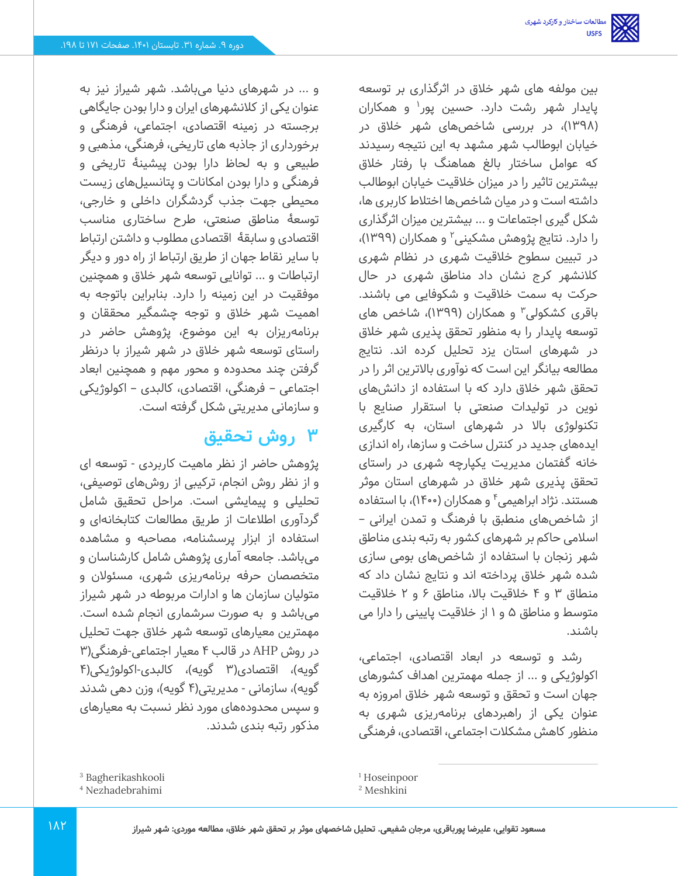بین مولفه های شهر خالق در اثرگذاری بر توسعه پایدار شهر رشت دارد. حسین پور<sup>۱</sup> و همکاران )1398(، در بررسی شاخصهای شهر خالق در خیابان ابوطالب شهر مشهد به این نتیجه رسیدند که عوامل ساختار بالغ هماهنگ با رفتار خالق بیشترین تاثیر را در میزان خالقیت خیابان ابوطالب داشته است و در میان شاخصها اختالط کاربری ها، شکل گیری اجتماعات و ... بیشترین میزان اثرگذاری را دارد. نتایج پژوهش مشکینی<sup>۲</sup> و همکاران (۱۳۹۹)، در تبیین سطوح خالقیت شهری در نظام شهری کالنشهر کرج نشان داد مناطق شهری در حال حرکت به سمت خالقیت و شکوفایی می باشند. باقری کشکولی۳ و همکاران (۱۳۹۹)، شاخص های توسعه پایدار را به منظور تحقق پذیری شهر خالق در شهرهای استان یزد تحلیل کرده اند. نتایج مطالعه بیانگر این است که نوآوری باالترین اثر را در تحقق شهر خالق دارد که با استفاده از دانش های نوین در تولیدات صنعتی با استقرار صنایع با تکنولوژی باال در شهرهای استان، به کارگیری ایده های جدید در کنترل ساخت و سازها، راه اندازی خانه گفتمان مدیریت یکپارچه شهری در راستای تحقق پذیری شهر خالق در شهرهای استان موثر هستند. نژاد ابراهیمی<sup>۴</sup> و همکاران (۱۴۰۰)، با استفاده از شاخص های منطبق با فرهنگ و تمدن ایرانی – اسالمی حاکم بر شهرهای کشور به رتبه بندی مناطق شهر زنجان با استفاده از شاخصهای بومی سازی شده شهر خالق پرداخته اند و نتایج نشان داد که منطاق 3 و 4 خالقیت باال، مناطق 6 و 2 خالقیت متوسط و مناطق 5 و 1 از خالقیت پایینی را دارا می باشند.

رشد و توسعه در ابعاد اقتصادی، اجتماع ی، اکولوژیکی و ... از جمله مهمترین اهداف کشورهای جهان است و تحقق و توسعه شهر خالق امروزه به عنوان یکی از راهبردهای برنامهریزی شهری به منظور کاهش مشکالت اجتماعی، اقتصادی، فرهنگی

و ... در شهرهای دنیا می باشد. شهر شیراز نیز به عنوان یکی از کالنشهرهای ایران و دارا بودن جایگاهی برجسته در زمینه اقتصادی، اجتماعی، فرهنگی و برخورداری از جاذبه های تاریخی، فرهنگی، مذهبی و طبیعی و به لحاظ دارا بودن پیشینۀ تاریخی و فرهنگی و دارا بودن امکانات و پتانسیل های زیست محیطی جهت جذب گردشگران داخلی و خارجی، توسعۀ مناطق صنعتی، طرح ساختاری مناسب اقتصادی و سابقۀ اقتصادی مطلوب و داشتن ارتباط با سایر نقاط جهان از طریق ارتباط از راه دور و دیگر ارتباطات و ... توانایی توسعه شهر خالق و همچنین موفقیت در این زمینه را دارد. بنابراین باتوجه به اهمیت شهر خالق و توجه چشمگیر محققان و برنامهریزان به این موضوع، پژوهش حاضر در راستای توسعه شهر خالق در شهر شیراز با درنظر گرفتن چند محدوده و محور مهم و همچنین ابعاد اجتماعی – فرهنگی، اقتصادی، کالبدی – اکولوژیکی و سازمانی مدیریتی شکل گرفته است.

## **3 روش تحقیق**

پژوهش حاضر از نظر ماهیت کاربردی - توسعه ای و از نظر روش انجام، ترکیبی از روش های توصیفی، تحلیلی و پیمایشی است. مراحل تحقیق شامل گردآوری اطلاعات از طریق مطالعات کتابخانهای و استفاده از ابزار پرسشنامه، مصاحبه و مشاهده میباشد. جامعه آماری پژوهش شامل کارشناسان و متخصصان حرفه برنامهریزی شهری، مسئوالن و متولیان سازمان ها و ادارات مربوطه در شهر شیراز میباشد و به صورت سرشماری انجام شده است. مهمترین معیارهای توسعه شهر خالق جهت تحلیل در روش AHP در قالب 4 معیار اجتماعی-فرهنگی) 3 گویه)، اقتصادی(۳ گویه)، کالبدی-اکولوژیکی(۴ گویه)، سازمانی - مدیریتی(۴ گویه)، وزن دهی شدند و سپس محدوده های مورد نظر نسبت به معیارهای مذکور رتبه بندی شدند.

<sup>3</sup> Bagherikashkooli

<sup>4</sup> Nezhadebrahimi

<sup>1</sup> Hoseinpoor

<sup>2</sup> Meshkini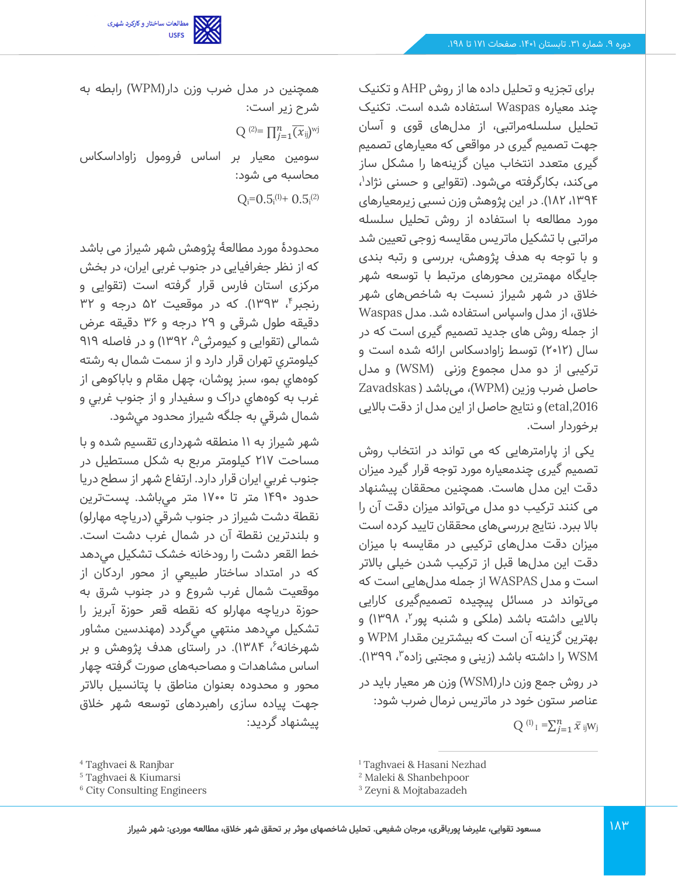برای تجزیه و تحلیل داده ها از روش AHP و تکنیک چند معیاره Waspas استفاده شده است. تکنیک تحلیل سلسله مراتبی، از مدل های قوی و آسان جهت تصمیم گیری در مواقعی که معیارهای تصمیم گیری متعدد انتخاب میان گزینهها را مشکل ساز میکند، بکارگرفته میشود. (تقوایی و حسنی نژاد<sup>۱</sup>، ،1394 182(. در این پژوهش وزن نسبی زیرمعیارهای مورد مطالعه با استفاده از روش تحلیل سلسله مراتبی با تشکیل ماتریس مقایسه زوجی تعیین شد و با توجه به هدف پژوهش، بررسی و رتبه بندی جایگاه مهمترین محورهای مرتبط با توسعه شهر خلاق در شهر شیراز نسبت به شاخصهای شهر خالق، از مدل واسپاس استفاده شد. مدل Waspas از جمله روش های جدید تصمیم گیری است که در سال )2012( توسط زاوادسکاس ارائه شده است و ترکیبی از دو مدل مجموع وزنی (WSM )و مدل حاصل ضرب وزین (WPM(، میباشد ) Zavadskas etal,2016) و نتایج حاصل از این مدل از دقت بالایی برخوردار است.

یکی از پارامترهایی که می تواند در انتخاب روش تصمیم گیری چندمعیاره مورد توجه قرار گیرد میزان دقت این مدل هاست. همچنین محققان پیشنهاد می کنند ترکیب دو مدل می تواند میزان دقت آن را باال ببرد. نتایج بررسی های محققان تایید کرده است میزان دقت مدل های ترکیبی در مقایسه با میزان دقت این مدل ها قبل از ترکیب شدن خیلی باالتر است و مدل WASPAS از جمله مدل هایی است که میتواند در مسائل پیچیده تصمیمگیری کارایی بالایی داشته باشد (ملکی و شنبه پور<sup>۲</sup>، ۱۳۹۸) و بهترین گزینه آن است که بیشترین مقدار WPM و WSM را داشته باشد (زینی و مجتبی زاده"، ۱۳۹۹).

در روش جمع وزن دار)WSM )وزن هر معیار باید در عناصر ستون خود در ماتریس نرمال ضرب شود:

 $Q^{(1)} = \sum_{j=1}^{n} \bar{x}_{ij}w_j$ 

همچنین در مدل ضرب وزن دار) WPM )رابطه به شرح زیر است:  $Q^{(2)} = \prod_{j=1}^n \overline{(x_{ij})}^{wj}$ 

سومین معیار بر اساس فرومول زاواداسکاس محاسبه می شود:

 $Q_i = 0.5$ <sub>i</sub><sup>(1)</sup>+  $0.5$ <sub>i</sub><sup>(2)</sup>

محدودۀ مورد مطالعۀ پژوهش شهر شیراز می باشد که از نظر جغرافیایی در جنوب غربی ایران، در بخش مرکزی استان فارس قرار گرفته است )تقوایی و رنجبر۴، ۱۳۹۳). که در موقعیت ۵۲ درجه و ۳۲ دقیقه طول شرقی و 29 درجه و 36 دقیقه عرض شمالی (تقوایی و کیومرثی^، ۱۳۹۲) و در فاصله ۹۱۹ کيلومتري تهران قرار دارد و از سمت شمال به رشته کوه هاي بمو، سبز پوشان، چهل مقام و باباکوهی از غرب به کوه هاي دراک و سفيدار و از جنوب غربي و شمال شرقي به جلگه شيراز محدود مي شود.

شهر شيراز به 11 منطقه شهرداری تقسیم شده و با مساحت 217 کيلومتر مربع به شکل مستطيل در جنوب غربي ايران قرار دارد. ارتفاع شهر از سطح دريا حدود 1490 متر تا 1700 متر مي باشد. پست ترين نقطة دشت شيراز در جنوب شرقي )درياچه مهارلو( و بلندترين نقطة آن در شمال غرب دشت است. خط القعر دشت را رودخانه خشک تشکيل مي دهد که در امتداد ساختار طبيعي از محور اردکان از موقعيت شمال غرب شروع و در جنوب شرق به حوزة درياچه مهارلو که نقطه قعر حوزة آبريز را تشکيل ميدهد منتهي ميگردد (مهندسين مشاور شهرخانه $^3$ ، ۱۳۸۴). در راستای هدف پژوهش و بر اساس مشاهدات و مصاحبههای صورت گرفته چهار محور و محدوده بعنوان مناطق با پتانسیل باالتر جهت پیاده سازی راهبردهای توسعه شهر خالق پیشنهاد گردید:

مطالعات ساختار و کارکرد شهری<br>USFS

<sup>4</sup> Taghvaei & Ranjbar

<sup>5</sup> Taghvaei & Kiumarsi

<sup>6</sup> City Consulting Engineers

<sup>1</sup> Taghvaei & Hasani Nezhad

<sup>2</sup> Maleki & Shanbehpoor

<sup>3</sup> Zeyni & Mojtabazadeh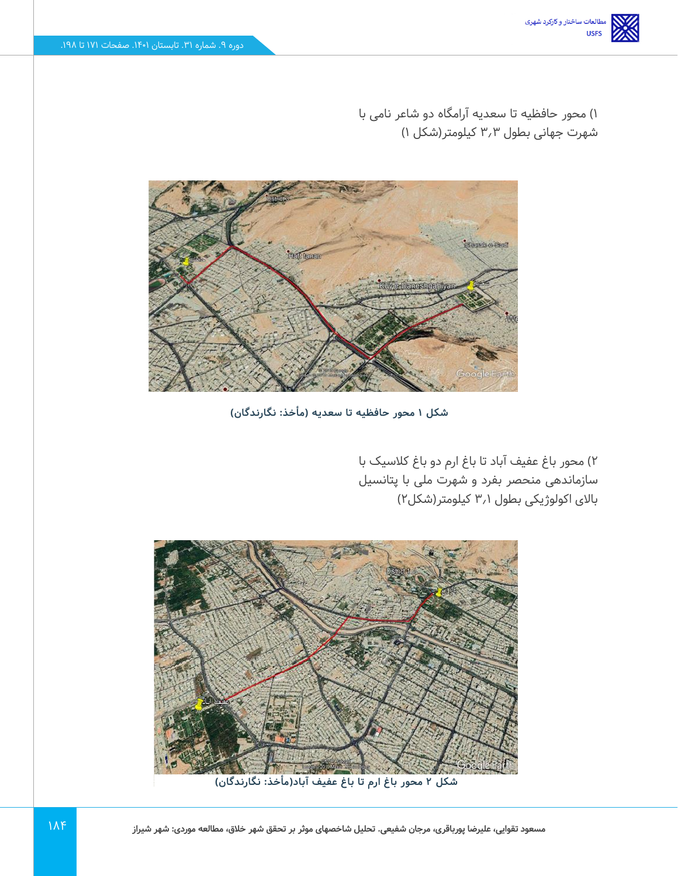1( محور حافظیه تا سعدیه آرامگاه دو شاعر نامی با شهرت جهانی بطول 3.3 کیلومتر)شکل 1(



**شکل 1 محور حافظیه تا سعدیه )مأخذ: نگارندگان(** 

2( محور باغ عفیف آباد تا باغ ارم دو باغ کالسیک با سازماندهی منحصر بفرد و شهرت ملی با پتانسیل باالی اکولوژیکی بطول 3.1 کیلومتر)شکل2(



**شکل 2 محور باغ ارم تا باغ عفیف آباد)مأخذ: نگارندگان(**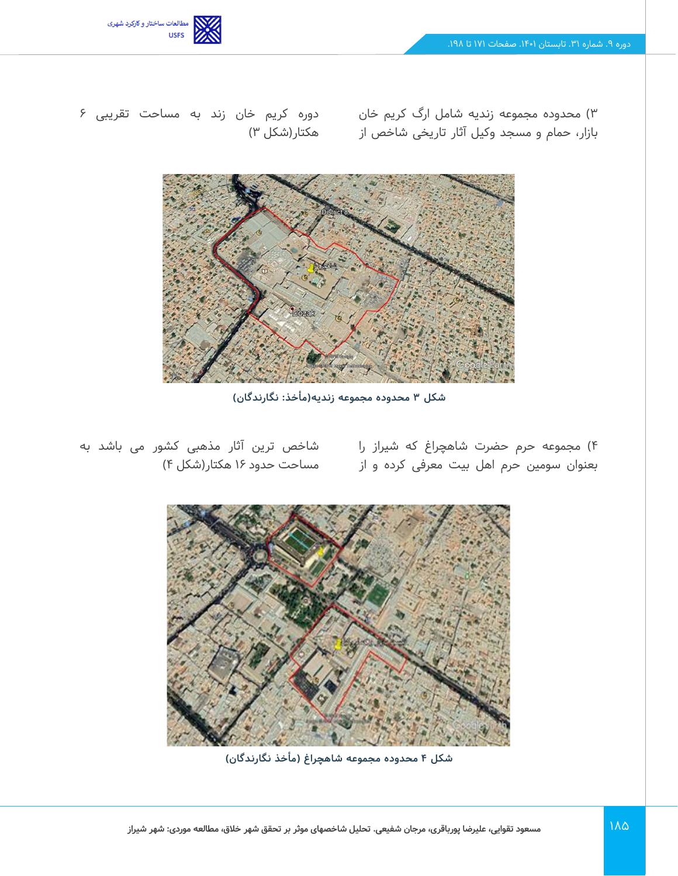

بازار، حمام و مسجد وکیل آثار تاریخی شاخص از هکتار)شکل 3(

3( محدوده مجموعه زندیه شامل ارگ کریم خان دوره کریم خان زند به مساحت تقریبی 6



**شکل 3 محدوده مجموعه زندیه)مأخذ: نگارندگان(** 

4( مجموعه حرم حضرت شاهچراغ که شیراز را بعنوان سومین حرم اهل بیت معرفی کرده و از

شاخص ترین آثار مذهبی کشور می باشد به مساحت حدود 16 هکتار)شکل 4(



**شکل 4 محدوده مجموعه شاهچراغ ) مأخذ نگارندگان (**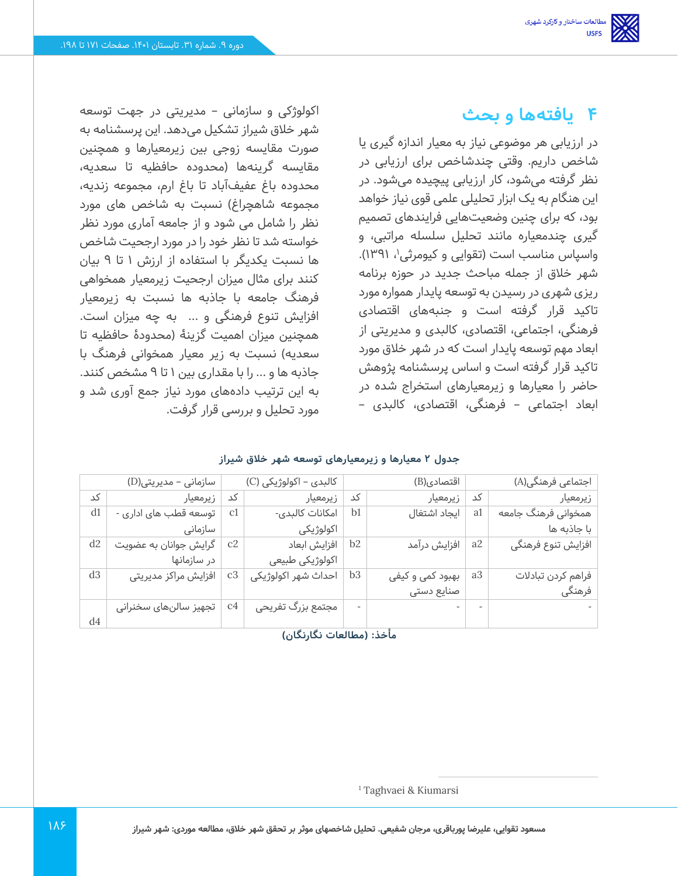## **4 یافتهها و بحث**

در ارزیابی هر موضوعی نیاز به معیار اندازه گیری یا شاخص داریم. وقتی چندشاخص برای ارزیابی در نظر گرفته می شود، کار ارزیابی پیچیده می شود. در این هنگام به یک ابزار تحلیلی علمی قوی نیاز خواهد بود، که برای چنین وضعیت هایی فرایندهای تصمیم گیری چندمعیاره مانند تحلیل سلسله مراتبی، و واسپاس مناسب است (تقوایی و کیومرثی'، ۱۳۹۱). شهر خالق از جمله مباحث جدید در حوزه برنامه ریزی شهری در رسیدن به توسعه پایدار همواره مورد تاکید قرار گرفته است و جنبههای اقتصادی فرهنگی، اجتماعی، اقتصادی، کالبدی و مدیریتی از ابعاد مهم توسعه پایدار است که در شهر خالق مورد تاکید قرار گرفته است و اساس پرسشنامه پژوهش حاضر را معیارها و زیرمعیارهای استخراج شده در ابعاد اجتماعی – فرهنگی، اقتصادی، کالبدی –

اکولوژکی و سازمانی – مدیریتی در جهت توسعه شهر خالق شیراز تشکیل می دهد. این پرسشنامه به صورت مقایسه زوجی بین زیرمعیارها و همچنین مقایسه گرینه ها )محدوده حافظیه تا سعدیه، محدوده باغ عفیفآباد تا باغ ارم، مجموعه زندیه، مجموعه شاهچراغ) نسبت به شاخص های مورد نظر را شامل می شود و از جامعه آماری مورد نظر خواسته شد تا نظر خود را در مورد ارجحیت شاخص ها نسبت یکدیگر با استفاده از ارزش 1 تا 9 بیان کنند برای مثال میزان ارجحیت زیرمعیار همخواهی فرهنگ جامعه با جاذبه ها نسبت به زیرمعیار افزایش تنوع فرهنگی و ... به چه میزان است. همچنین میزان اهمیت گزینۀ )محدودۀ حافظیه تا سعدیه) نسبت به زیر معیار همخوانی فرهنگ با جاذبه ها و ... را با مقداری بین 1 تا 9 مشخص کنند. به این ترتیب داده های مورد نیاز جمع آوری شد و مورد تحلیل و بررسی قرار گرفت.

|  |  |  | جدول ۲ معیارها و زیرمعیارهای توسعه شهر خلاق شیراز |  |  |  |  |
|--|--|--|---------------------------------------------------|--|--|--|--|
|--|--|--|---------------------------------------------------|--|--|--|--|

|                | سازمانی - مدیریتی(D)  |                | كالېدى - اكولوژيكى (C) |                | اقتصادی(B)       |                | اجتماعی فرهنگی(A)    |
|----------------|-----------------------|----------------|------------------------|----------------|------------------|----------------|----------------------|
| کد             | زيرمعيار              | کد             | زيرمعيار               | کد             | زيرمعيار         | کد             | زيرمعيار             |
| d1             | توسعه قطب های اداری - | c1             | امكانات كالبدى-        | b1             | ايجاد اشتغال     | a1             | همخوانی فرهنگ جامعه  |
|                | سازمانى               |                | اكولوژيكى              |                |                  |                | با جاذبه ها          |
| d2             | گرایش جوانان به عضویت | c2             | افزايش ابعاد           | b2             | افزایش درآمد     | a2             | ِ افزایش تنوع فرهنگی |
|                | در سازمانها           |                | اكولوژيكى طبيعى        |                |                  |                |                      |
| d <sub>3</sub> | افزایش مراکز مدیریتی  | c3             | احداث شهر اكولوژيكى    | b <sub>3</sub> | بهبود کمی و کیفی | a <sub>3</sub> | فراهم كردن تبادلات   |
|                |                       |                |                        |                | صنایع دستی       |                | ً فرهنگی             |
|                | تجهیز سالنهای سخنرانی | C <sub>4</sub> | مجتمع بزرگ تفریحی      |                |                  |                |                      |
| d4             |                       |                |                        |                |                  |                |                      |

**مأخذ: )مطالعات نگارنگان(** 

<sup>1</sup> Taghvaei & Kiumarsi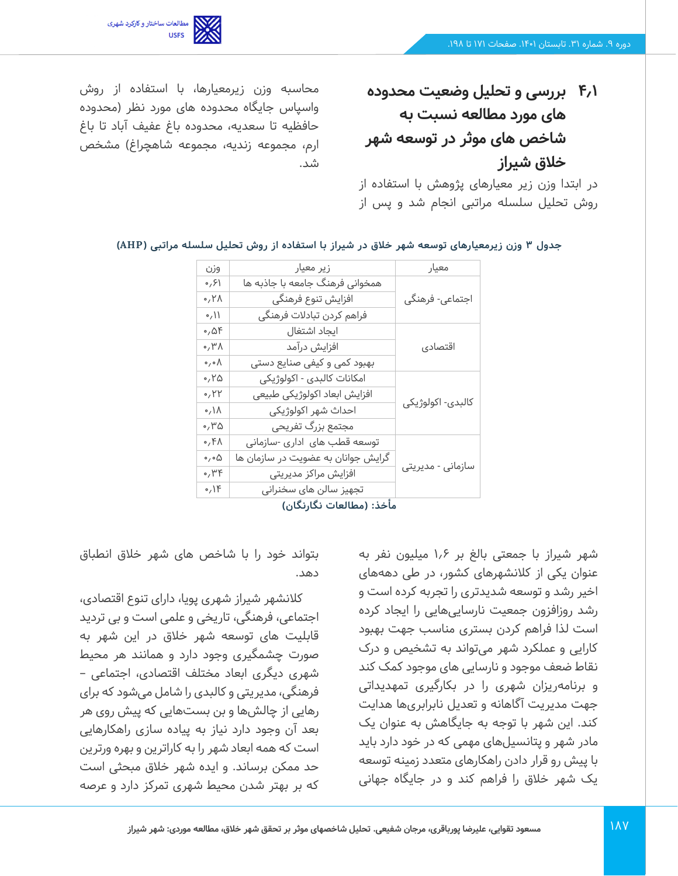

**4.1 بررسی و تحلیل وضعیت محدوده های مورد مطالعه نسبت به شاخص های موثر در توسعه شهر خالق شیراز** 

در ابتدا وزن زیر معیارهای پژوهش با استفاده از روش تحلیل سلسله مراتبی انجام شد و پس از

محاسبه وزن زیرمعیارها، با استفاده از روش واسپاس جایگاه محدوده های مورد نظر )محدوده حافظیه تا سعدیه، محدوده باغ عفیف آباد تا باغ ارم، مجموعه زندیه، مجموعه شاهچراغ) مشخص شد.

| وزن                           | زیر معیار                          | معيار             |  |  |  |
|-------------------------------|------------------------------------|-------------------|--|--|--|
| ۶۱/۰                          | همخوانی فرهنگ جامعه با جاذبه ها    |                   |  |  |  |
| ۲۸،                           | افزایش تنوع فرهنگی                 | اجتماعی- فرهنگی   |  |  |  |
| $\circ/$                      | فراهم كردن تبادلات فرهنگى          |                   |  |  |  |
| $\circ$ , $\Delta F$          | ايجاد اشتغال                       |                   |  |  |  |
| $\wedge$ ۳۸                   | افزایش درآمد                       | اقتصادى           |  |  |  |
| $\circ$ , $\circ$ $\wedge$    | بهبود کمی و کیفی صنایع دستی        |                   |  |  |  |
| ۲۵،                           | امكانات كالبدى - اكولوژيكى         |                   |  |  |  |
| $\circ$ , $\uparrow \uparrow$ | افزایش ابعاد اکولوژیکی طبیعی       |                   |  |  |  |
| $\wedge$ / $\wedge$           | احداث شهر اكولوژيكى                | كالبدى- اكولوژيكى |  |  |  |
| ۰٬۳۵                          | مجتمع بزرگ تفریحی                  |                   |  |  |  |
| ٬٬۴۸                          | توسعه قطب های اداری -سازمانی       |                   |  |  |  |
| $\circ$ , $\circ$ $\Delta$    | گرایش جوانان به عضویت در سازمان ها |                   |  |  |  |
| ٬۳۴                           | افزایش مراکز مدیریتی               | سازمانی - مدیریتی |  |  |  |
| 0,15                          | تجهیز سالن های سخنرانی             |                   |  |  |  |
|                               | مأخذي (مطالعات نگابزگان)           |                   |  |  |  |

#### **جدول 3 وزن زیرمعیارهای توسعه شهر خالق در شیراز با استفاده از روش تحلیل سلسله مراتبی ) AHP )**

**مأخذ: )مطالعات نگارنگان(** 

شهر شیراز با جمعتی بالغ بر 1.6 میلیون نفر به عنوان یکی از کالنشهرهای کشور، در طی دهه های اخیر رشد و توسعه شدیدتری را تجربه کرده است و رشد روزافزون جمعیت نارسایی هایی را ایجاد کرده است لذا فراهم کردن بستری مناسب جهت بهبود کارایی و عملکرد شهر می تواند به تشخیص و درک نقاط ضعف موجود و نارسایی های موجود کمک کند و برنامهریزان شهری را در بکارگیری تمهدیداتی جهت مدیریت آگاهانه و تعدیل نابرابری ها هدایت کند. این شهر با توجه به جایگاهش به عنوان یک مادر شهر و پتانسیل های مهمی که در خود دارد باید با پیش رو قرار دادن راهکارهای متعدد زمینه توسعه یک شهر خالق را فراهم کند و در جایگاه جهانی

بتواند خود را با شاخص های شهر خالق انطباق دهد.

کالنشهر شیراز شهری پویا، دارای تنوع اقتصادی، اجتماعی، فرهنگی، تاریخی و علمی است و بی تردید قابلیت های توسعه شهر خالق در این شهر به صورت چشمگیری وجود دارد و همانند هر محیط شهری دیگری ابعاد مختلف اقتصادی، اجتماعی – فرهنگی، مدیریتی و کالبدی را شامل می شود که برای رهایی از چالش ها و بن بست هایی که پیش روی هر بعد آن وجود دارد نیاز به پیاده سازی راهکارهایی است که همه ابعاد شهر را به کاراترین و بهره ورترین حد ممکن برساند. و ایده شهر خالق مبحثی است که بر بهتر شدن محیط شهری تمرکز دارد و عرصه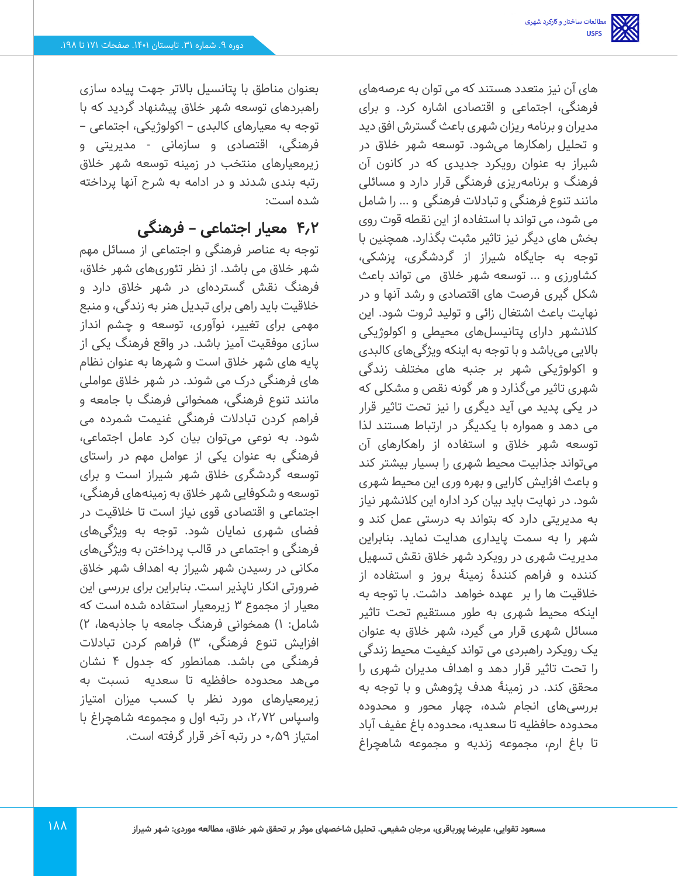های آن نیز متعدد هستند که می توان به عرصههای فرهنگی، اجتماعی و اقتصادی اشاره کرد. و برای مدیران و برنامه ریزان شهری باعث گسترش افق دید و تحلیل راهکارها می شود. توسعه شهر خالق در شیراز به عنوان رویکرد جدیدی که در کانون آن فرهنگ و برنامهریزی فرهنگی قرار دارد و مسائلی مانند تنوع فرهنگی و تبادالت فرهنگی و ... را شامل می شود، می تواند با استفاده از این نقطه قوت روی بخش های دیگر نیز تاثیر مثبت بگذارد. همچنین با توجه به جایگاه شیراز از گردشگری، پزشکی، کشاورزی و ... توسعه شهر خالق می تواند باعث شکل گیری فرصت های اقتصادی و رشد آنها و در نهایت باعث اشتغال زائی و تولید ثروت شود. این کالنشهر دارای پتانیسل های محیطی و اکولوژیکی باالیی می باشد و با توجه به اینکه ویژگی های کالبدی و اکولوژیکی شهر بر جنبه های مختلف زندگی شهری تاثیر میگذارد و هر گونه نقص و مشکلی که در یکی پدید می آید دیگری را نیز تحت تاثیر قرار می دهد و همواره با یکدیگر در ارتباط هستند لذا توسعه شهر خالق و استفاده از راهکارهای آن میتواند جذابیت محیط شهری را بسیار بیشتر کند و باعث افزایش کارایی و بهره وری این محیط شهری شود. در نهایت باید بیان کرد اداره این کالنشهر نیاز به مدیریتی دارد که بتواند به درستی عمل کند و شهر را به سمت پایداری هدایت نماید. بنابراین مدیریت شهری در رویکرد شهر خالق نقش تسهیل کننده و فراهم کنندۀ زمینۀ بروز و استفاده از خالقیت ها را بر عهده خواهد داشت. با توجه به اینکه محیط شهری به طور مستقیم تحت تاثیر مسائل شهری قرار می گیرد، شهر خالق به عنوان یک رویکرد راهبردی می تواند کیفیت محیط زندگی را تحت تاثیر قرار دهد و اهداف مدیران شهری را محقق کند. در زمینۀ هدف پژوهش و با توجه به بررسی های انجام شده، چهار محور و محدوده محدوده حافظیه تا سعدیه، محدوده باغ عفیف آباد تا باغ ارم، مجموعه زندیه و مجموعه شاهچراغ

بعنوان مناطق با پتانسیل باالتر جهت پیاده سازی راهبردهای توسعه شهر خالق پیشنهاد گردید که با توجه به معیارهای کالبدی – اکولوژیکی، اجتماعی – فرهنگی، اقتصادی و سازمانی - مدیریتی و زیرمعیارهای منتخب در زمینه توسعه شهر خالق رتبه بندی شدند و در ادامه به شرح آنها پرداخته شده است:

## **4.2 معیار اجتماعی – فرهنگی**

توجه به عناصر فرهنگی و اجتماعی از مسائل مهم شهر خالق می باشد. از نظر تئوری های شهر خالق، فرهنگ نقش گستردهای در شهر خلاق دارد و خالقیت باید راهی برای تبدیل هنر به زندگی، و منبع مهمی برای تغییر، نوآوری، توسعه و چشم انداز سازی موفقیت آمیز باشد. در واقع فرهنگ یکی از پایه های شهر خالق است و شهرها به عنوان نظام های فر هنگی درک می شوند. در شهر خالق عواملی مانند تنوع فرهنگی، همخوانی فرهنگ با جامعه و فراهم کردن تبادالت فرهنگی غنیمت شمرده می شود. به نوعی می توان بیان کرد عامل اجتماعی، فرهنگی به عنوان یکی از عوامل مهم در راستای توسعه گردشگری خالق شهر شیراز است و برای توسعه و شکوفایی شهر خالق به زمینههای فرهنگی، اجتماعی و اقتصادی قوی نیاز است تا خالقیت در فضای شهری نمایان شود. توجه به ویژگی های فرهنگی و اجتماعی در قالب پرداختن به ویژگی های مکانی در رسیدن شهر شیراز به اهداف شهر خالق ضرورتی انکار ناپذیر است. بنابراین برای بررسی این معیار از مجموع 3 زیرمعیار استفاده شده است که شامل: 1( همخوانی فرهنگ جامعه با جاذبه ها، 2( افزایش تنوع فرهنگی، 3( فراهم کردن تبادالت فرهنگی می باشد. همانطور که جدول 4 نشان میهد محدوده حافظیه تا سعدیه نسبت به زیرمعیارهای مورد نظر با کسب میزان امتیاز واسپاس ،2.72 در رتبه اول و مجموعه شاهچراغ با امتیاز 0.59 در رتبه آخر قرار گرفته است.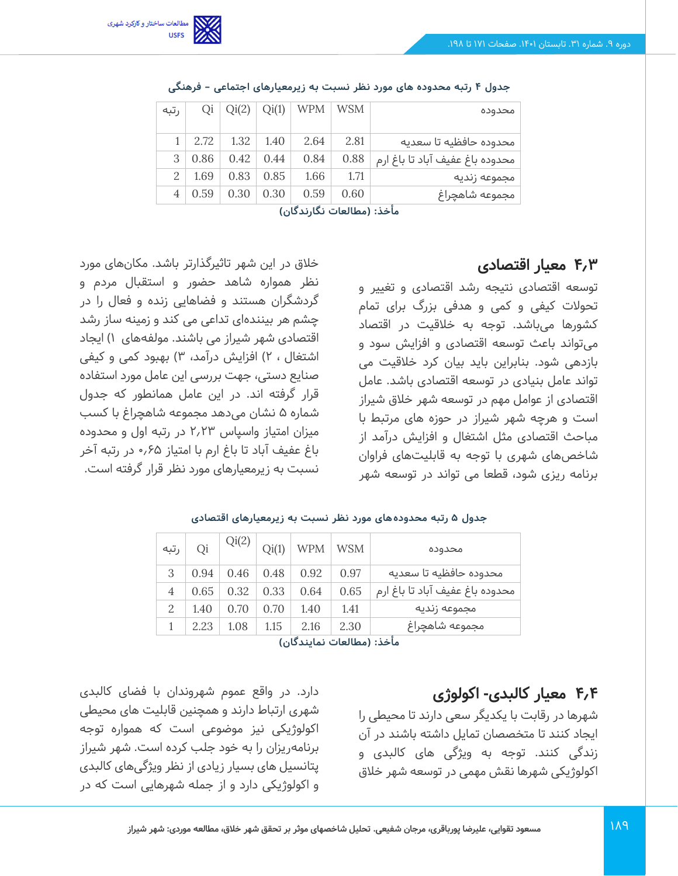

| محدوده                          | WSM  | WPM  | Qi(1) | Qi(2) | Qi   | رتبه          |
|---------------------------------|------|------|-------|-------|------|---------------|
| محدوده حافظيه تا سعديه          | 2.81 | 2.64 | 1.40  | 1.32  | 2.72 |               |
| محدوده باغ عفيف آباد تا باغ ارم | 0.88 | 0.84 | 0.44  | 0.42  | 0.86 | 3             |
| مجموعه زنديه                    | 1.71 | 1.66 | 0.85  | 0.83  | 1.69 | $\mathcal{L}$ |
| مجموعه شاهجراغ                  | 0.60 | 0.59 | 0.30  | 0.30  | 0.59 |               |

**جدول 4 رتبه محدوده های مورد نظر نسبت به زیرمعیارهای اجتماعی – فرهنگی** 

### **4.3 معیار اقتصادی**

توسعه اقتصادی نتیجه رشد اقتصادی و تغییر و تحوالت کیفی و کمی و هدفی بزرگ برای تمام کشورها می باشد. توجه به خالقیت در اقتصاد میتواند باعث توسعه اقتصادی و افزایش سود و بازدهی شود. بنابراین باید بیان کرد خالقیت می تواند عامل بنیادی در توسعه اقتصادی باشد. عامل اقتصادی از عوامل مهم در توسعه شهر خالق شیراز است و هرچه شهر شیراز در حوزه های مرتبط با مباحث اقتصادی مثل اشتغال و افزایش درآمد از شاخصهای شهری با توجه به قابلیت های فراوان برنامه ریزی شود، قطعا می تواند در توسعه شهر

خالق در این شهر تاثیرگذارتر باشد. مکان های مورد نظر همواره شاهد حضور و استقبال مردم و گردشگران هستند و فضاهایی زنده و فعال را در چشم هر بینندهای تداعی می کند و زمینه ساز رشد اقتصادی شهر شیراز می باشند. مولفههای 1( ایجاد اشتغال ، ۲) افزایش درآمد، ۳) بهبود کمی و کیفی صنایع دستی، جهت بررسی این عامل مورد استفاده قرار گرفته اند. در این عامل همانطور که جدول شماره 5 نشان می دهد مجموعه شاهچراغ با کسب میزان امتیاز واسپاس 2.23 در رتبه اول و محدوده باغ عفیف آباد تا باغ ارم با امتیاز 0.65 در رتبه آخر نسبت به زیرمعیارهای مورد نظر قرار گرفته است.

| رتبه                            | Qi   | Qi(2) | Qi(1) | <b>WPM</b> | <b>WSM</b> | محدوده                          |  |  |  |
|---------------------------------|------|-------|-------|------------|------------|---------------------------------|--|--|--|
| 3                               | 0.94 | 0.46  | 0.48  | 0.92       | 0.97       | محدوده حافظيه تا سعديه          |  |  |  |
| 4                               | 0.65 | 0.32  | 0.33  | 0.64       | 0.65       | محدوده باغ عفيف آباد تا باغ ارم |  |  |  |
| $\mathcal{L}$                   | 1.40 | 0.70  | 0.70  | 1.40       | 1.41       | مجموعه زنديه                    |  |  |  |
|                                 | 2.23 | 1.08  | 1.15  | 2.16       | 2.30       | مجموعه شاهچراغ                  |  |  |  |
| وبأخذى فوعا العارت دمارده كالدا |      |       |       |            |            |                                 |  |  |  |

#### **جدول 5 رتبه محدوده های مورد نظر نسبت به زیرمعیارهای اقتصادی**

**مأخذ: )مطالعات نمایندگان(** 

## **4.4 معیار کالبدی- اکولوژی**

شهرها در رقابت با یکدیگر سعی دارند تا محیطی را ایجاد کنند تا متخصصان تمایل داشته باشند در آن زندگی کنند. توجه به ویژگی های کالبدی و اکولوژیکی شهرها نقش مهمی در توسعه شهر خالق

دارد. در واقع عموم شهروندان با فضای کالبدی شهری ارتباط دارند و همچنین قابلیت های محیطی اکولوژیکی نیز موضوعی است که همواره توجه برنامهریزان را به خود جلب کرده است. شهر شیراز پتانسیل های بسیار زیادی از نظر ویژگی های کالبدی و اکولوژیکی دارد و از جمله شهرهایی است که در

**مأخذ: )مطالعات نگارندگان(**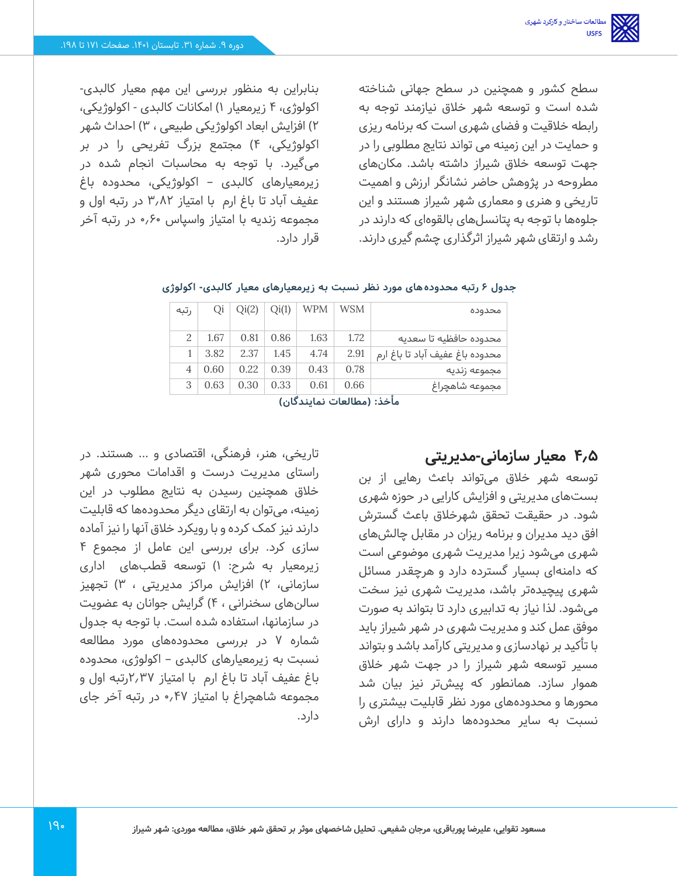سطح کشور و همچنین در سطح جهانی شناخته شده است و توسعه شهر خالق نیازمند توجه به رابطه خلاقیت و فضای شهری است که برنامه ریزی و حمایت در این زمینه می تواند نتایج مطلوبی را در جهت توسعه خالق شیراز داشته باشد. مکان های مطروحه در پژوهش حاضر نشانگر ارزش و اهمیت تاریخی و هنری و معماری شهر شیراز هستند و این جلوهها با توجه به پتانسل های بالقوهای که دارند در رشد و ارتقای شهر شیراز اثرگذاری چشم گیری دارند.

بنابراین به منظور بررسی این مهم معیار کالبدی - اکولوژی، 4 زیرمعیار 1( امکانات کالبدی - اکولوژیکی، 2( افزایش ابعاد اکولوژیکی طبیعی ، 3( احداث شهر اکولوژیکی، 4( مجتمع بزرگ تفریحی را در بر میگیرد. با توجه به محاسبات انجام شده در زیرمعیارهای کالبدی – اکولوژیکی، محدوده باغ عفیف آباد تا باغ ارم با امتیاز 3.82 در رتبه اول و مجموعه زندیه با امتیاز واسپاس 0.60 در رتبه آخر قرار دارد.

| محدوده                          | WSM  | <b>WPM</b>                                               | Qi(1) | Qi(2) | Qi   | ر تبه |  |
|---------------------------------|------|----------------------------------------------------------|-------|-------|------|-------|--|
| محدوده حافظيه تا سعديه          | 1.72 | 1.63                                                     | 0.86  | 0.81  | 1.67 |       |  |
| محدوده باغ عفيف آباد تا باغ ارم | 2.91 | 4.74                                                     | 1.45  | 2.37  | 3.82 |       |  |
| مجموعه زنديه                    | 0.78 | 0.43                                                     | 0.39  | 0.22  | 0.60 | 4     |  |
| مجموعه شاهجراغ                  | 0.66 | 0.61                                                     | 0.33  | 0.30  | 0.63 | 3     |  |
|                                 |      | $I = 100$ and the second control $I = 100$ . An activity |       |       |      |       |  |

#### **جدول 6 رتبه محدوده های مورد نظر نسبت به زیرمعیارهای معیار کالبدی - اکولوژی**

**مأخذ: )مطالعات نمایندگان(** 

## **4.5 معیار سازمانی-مدیریتی**

توسعه شهر خالق می تواند باعث رهایی از بن بست های مدیریتی و افزایش کارایی در حوزه شهری شود. در حقیقت تحقق شهرخالق باعث گسترش افق دید مدیران و برنامه ریزان در مقابل چالش های شهری می شود زیرا مدیریت شهری موضوعی است که دامنهای بسیار گسترده دارد و هرچقدر مسائل شهری پیچیده تر باشد، مدیریت شهری نیز سخت میشود. لذا نیاز به تدابیری دارد تا بتواند به صورت موفق عمل کند و مدیریت شهری در شهر شیراز باید با تأکید بر نهادسازی و مدیریتی کارآمد باشد و بتواند مسیر توسعه شهر شیراز را در جهت شهر خالق هموار سازد. همانطور که پیش تر نیز بیان شد محورها و محدوده های مورد نظر قابلیت بیشتری را نسبت به سایر محدودهها دارند و دارای ارش

تاریخی، هنر، فرهنگی، اقتصادی و ... هستند. در راستای مدیریت درست و اقدامات محوری شهر خالق همچنین رسیدن به نتایج مطلوب در این زمینه، میتوان به ارتقای دیگر محدودهها که قابلیت دارند نیز کمک کرده و با رویکرد خالق آنها را نیز آماده سازی کرد. برای بررسی این عامل از مجموع 4 زیرمعیار به شرح: 1( توسعه قطبهای اداری سازمانی، 2( افزایش مراکز مدیریتی ، 3( تجهیز سالنهای سخنرانی ، 4( گرایش جوانان به عضویت در سازمانها، استفاده شده است. با توجه به جدول شماره 7 در بررسی محدوده های مورد مطالعه نسبت به زیرمعیارهای کالبدی – اکولوژی، محدوده باغ عفیف آباد تا باغ ارم با امتیاز 2.37رتبه اول و مجموعه شاهچراغ با امتیاز 0.47 در رتبه آخر جای دارد.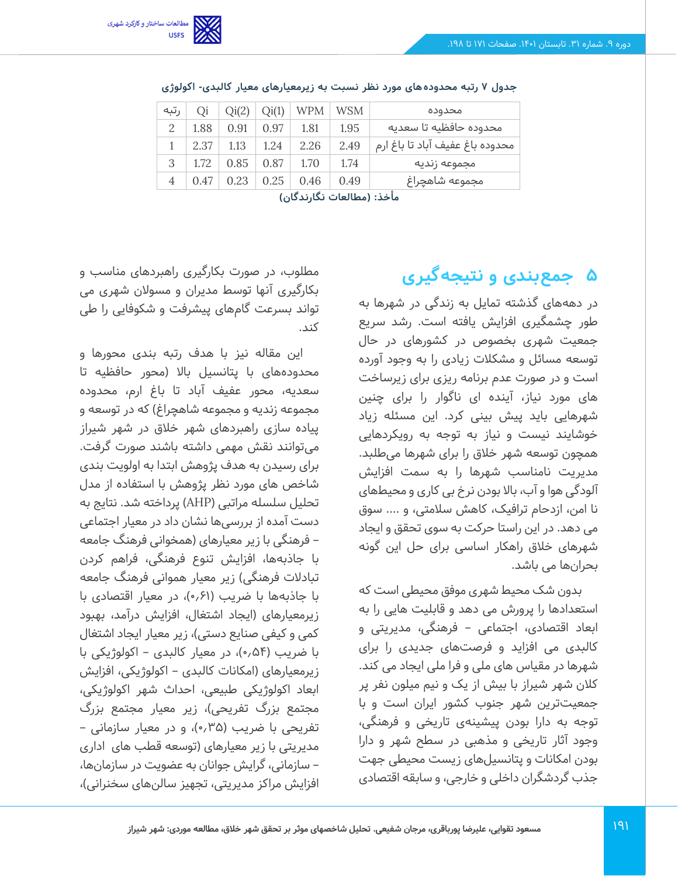

| Oi   | Qi(2) | Qi(1) | WPM  | WSM  | محدوده                                                                                                 |
|------|-------|-------|------|------|--------------------------------------------------------------------------------------------------------|
| 1.88 | 0.91  | 0.97  | 1.81 | 1.95 | محدوده حافظيه تا سعديه                                                                                 |
| 2.37 | 1.13  | 1.24  | 2.26 | 2.49 | محدوده باغ عفيف آباد تا باغ ارم                                                                        |
| 1.72 | 0.85  | 0.87  | 1.70 | 1.74 | مجموعه زنديه                                                                                           |
| 0.47 | 0.23  | 0.25  | 0.46 | 0.49 | مجموعه شاهچراغ                                                                                         |
|      |       |       |      |      | الأندان ومناقصة والأساط والأستان والمتناقص والمتناقص والمتناقص والمتناقص والمتناقض والمتناقض والمتناقض |

|  |  |  |  | جدول ۷ رتبه محدودههای مورد نظر نسبت به زیرمعیارهای معیار کالبدی- اکولوژی |  |
|--|--|--|--|--------------------------------------------------------------------------|--|
|--|--|--|--|--------------------------------------------------------------------------|--|

## **5 جمعبندی و نتیجهگیری**

در دهههای گذشته تمایل به زندگی در شهرها به طور چشمگیری افزایش یافته است. رشد سریع جمعیت شهری بخصوص در کشورهای در حال توسعه مسائل و مشکالت زیادی را به وجود آورده است و در صورت عدم برنامه ریزی برای زیرساخت های مورد نیاز، آینده ای ناگوار را برای چنین شهرهایی باید پیش بینی کرد. این مسئله زیاد خوشایند نیست و نیاز به توجه به رویکردهایی همچون توسعه شهر خالق را برای شهرها می طلبد. مدیریت نامناسب شهرها را به سمت افزایش آلودگی هوا و آب، باال بودن نرخ بی کاری و محیط های نا امن، ازدحام ترافیک، کاهش سالمتی، و .... سوق می دهد. در این راستا حرکت به سوی تحقق و ایجاد شهرهای خالق راهکار اساسی برای حل این گونه بحران ها می باشد.

بدون شک محیط شهری موفق محیطی است که استعدادها را پرورش می دهد و قابلیت هایی را به ابعاد اقتصادی، اجتماعی – فرهنگی، مدیریتی و کالبدی می افزاید و فرصت های جدیدی را برای شهرها در مقیاس های ملی و فرا ملی ایجاد می کند. کالن شهر شیراز با بیش از یک و نیم میلون نفر پر جمعیتترین شهر جنوب کشور ایران است و با توجه به دارا بودن پیشینهی تاریخی و فرهنگی، وجود آثار تاریخی و مذهبی در سطح شهر و دارا بودن امکانات و پتانسیل های زیست محیطی جهت جذب گردشگران داخلی و خارجی، و سابقه اقتصادی

مطلوب، در صورت بکارگیری راهبردهای مناسب و بکارگیری آنها توسط مدیران و مسوالن شهری می تواند بسرعت گام های پیشرفت و شکوفایی را طی کند.

این مقاله نیز با هدف رتبه بندی محورها و محدوده های با پتانسیل باال )محور حافظیه تا سعدیه، محور عفیف آباد تا باغ ارم، محدوده مجموعه زندیه و مجموعه شاهچراغ) که در توسعه و پیاده سازی راهبردهای شهر خالق در شهر شیراز میتوانند نقش مهمی داشته باشند صورت گرفت. برای رسیدن به هدف پژوهش ابتدا به اولویت بندی شاخص های مورد نظر پژوهش با استفاده از مدل تحلیل سلسله مراتبی )AHP )پرداخته شد. نتایج به دست آمده از بررسی ها نشان داد در معیار اجتماعی – فرهنگی با زیر معیارهای )همخوانی فرهنگ جامعه با جاذبه ها، افزایش تنوع فرهنگی، فراهم کردن تبادلات فرهنگی) زیر معیار هموانی فرهنگ جامعه با جاذبهها با ضریب )0.61(، در معیار اقتصادی با زیرمعیارهای )ایجاد اشتغال، افزایش درآمد، بهبود کمی و کیفی صنایع دستی)، زیر معیار ایجاد اشتغال با ضریب )0.54(، در معیار کالبدی – اکولوژیکی با زیرمعیارهای (امکانات کالبدی – اکولوژیکی، افزایش ابعاد اکولوژیکی طبیعی، احداث شهر اکولوژیکی، مجتمع بزرگ تفریحی)، زیر معیار مجتمع بزرگ تفریحی با ضریب (۰٫۳۵% و در معیار سازمانی – مدیریتی با زیر معیارهای )توسعه قطب های اداری – سازمانی، گرایش جوانان به عضویت در سازمان ها، افزایش مراکز مدیریتی، تجهیز سالنهای سخنرانی)،

**مأخذ: )مطالعات نگارندگان(**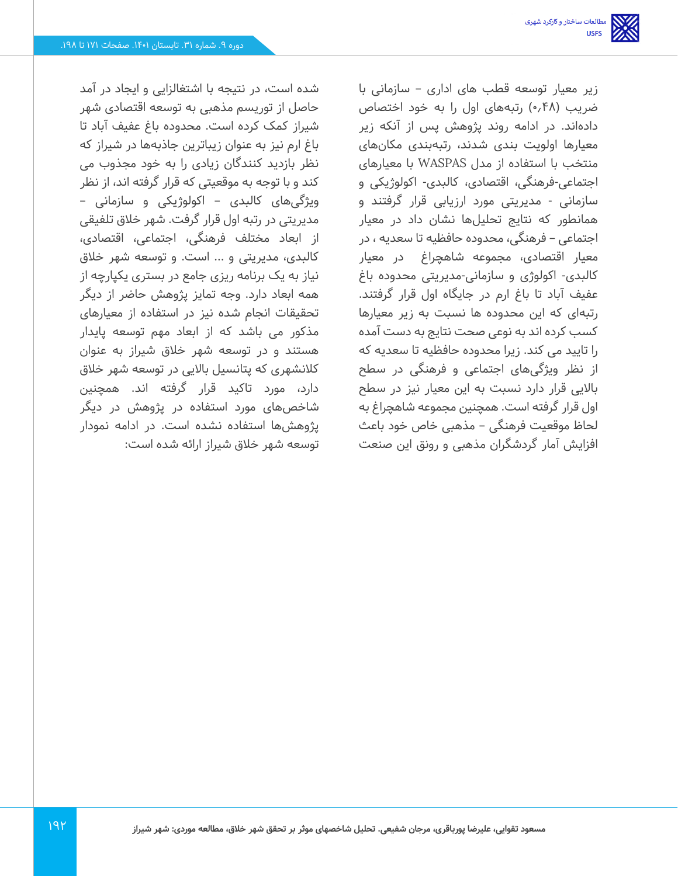زیر معیار توسعه قطب های اداری – سازمانی با ضریب )0.48( رتبههای اول را به خود اختصاص داده اند. در ادامه روند پژوهش پس از آنکه زیر معیارها اولویت بندی شدند، رتبهبندی مکانهای منتخب با استفاده از مدل WASPAS با معیارهای اجتماعی-فرهنگی، اقتصادی، کالبدی- اکولوژیکی و سازمانی - مدیریتی مورد ارزیابی قرار گرفتند و همانطور که نتایج تحلیلها نشان داد در معیار اجتماعی – فرهنگی، محدوده حافظیه تا سعدیه ، در معیار اقتصادی، مجموعه شاهچراغ در معیار کالبدی- اکولوژی و سازمانی -مدیریتی محدوده باغ عفیف آباد تا باغ ارم در جایگاه اول قرار گرفتند. رتبهای که این محدوده ها نسبت به زیر معیارها کسب کرده اند به نوعی صحت نتایج به دست آمده را تایید می کند. زیرا محدوده حافظیه تا سعدیه که از نظر ویژگی های اجتماعی و فرهنگی در سطح باالیی قرار دارد نسبت به این معیار نیز در سطح اول قرار گرفته است. همچنین مجموعه شاهچراغ به لحاظ موقعیت فرهنگی – مذهبی خاص خود باعث افزایش آمار گردشگران مذهبی و رونق این صنعت

شده است، در نتیجه با اشتغالزایی و ایجاد در آمد حاصل از توریسم مذهبی به توسعه اقتصادی شهر شیراز کمک کرده است. محدوده باغ عفیف آباد تا باغ ارم نیز به عنوان زیباترین جاذبه ها در شیراز که نظر بازدید کنندگان زیادی را به خود مجذوب می کند و با توجه به موقعیتی که قرار گرفته اند، از نظر ویژگی های کالبدی – اکولوژیکی و سازمانی – مدیریتی در رتبه اول قرار گرفت. شهر خالق تلفیقی از ابعاد مختلف فرهنگی، اجتماعی، اقتصادی، کالبدی، مدیریتی و ... است. و توسعه شهر خالق نیاز به یک برنامه ریزی جامع در بستری یکپارچه از همه ابعاد دارد. وجه تمایز پژوهش حاضر از دیگر تحقیقات انجام شده نیز در استفاده از معیارهای مذکور می باشد که از ابعاد مهم توسعه پایدار هستند و در توسعه شهر خالق شیراز به عنوان کالنشهری که پتانسیل باالیی در توسعه شهر خالق دارد، مورد تاکید قرار گرفته اند. همچنین شاخصهای مورد استفاده در پژوهش در دیگر پژوهش ها استفاده نشده است. در ادامه نمودار توسعه شهر خالق شیراز ارائه شده است: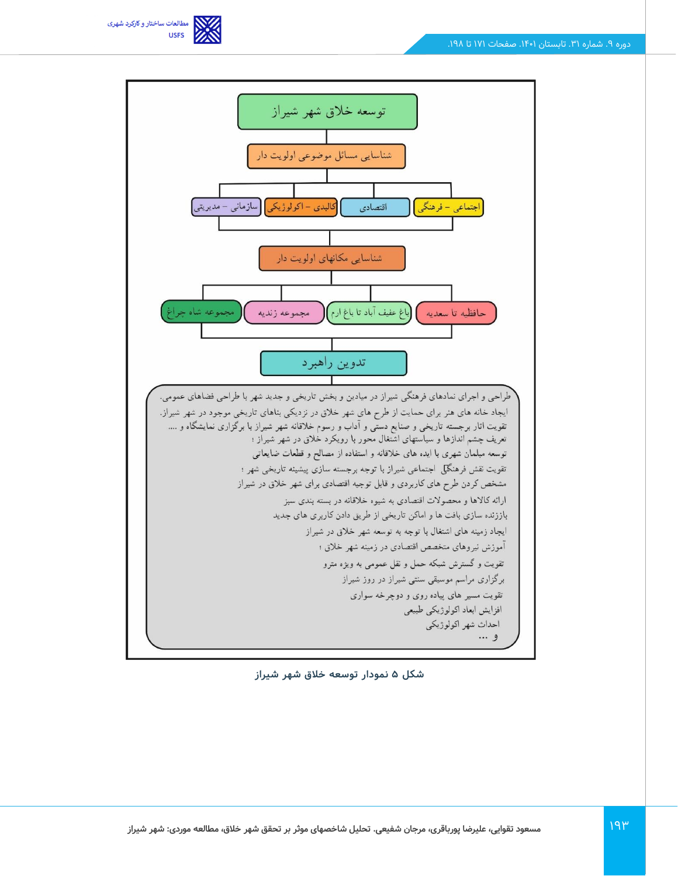



**شکل 5 نمودار توسعه خالق شهر شیراز**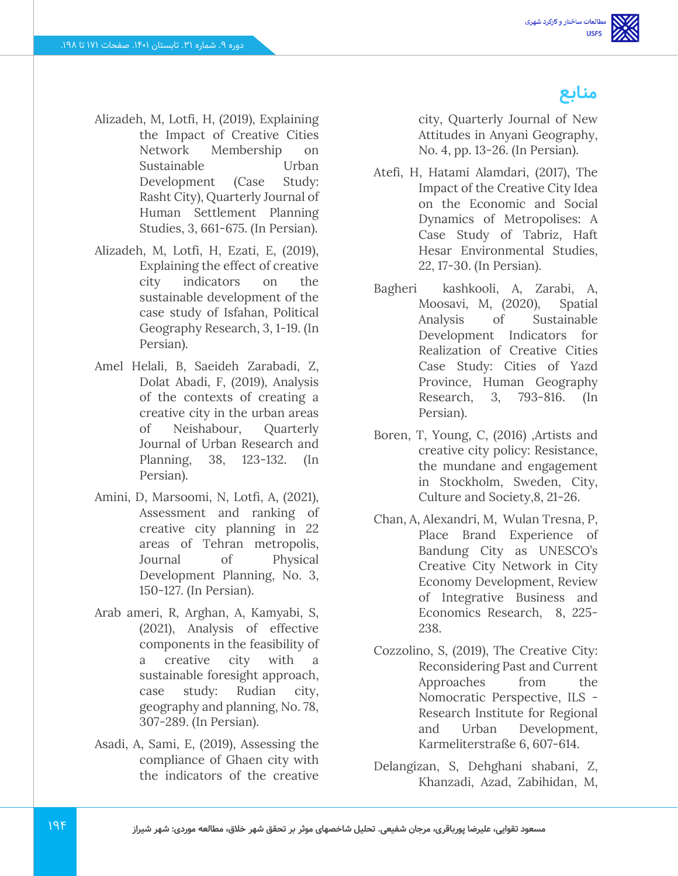**منابع**

- Alizadeh, M, Lotfi, H, (2019), Explaining the Impact of Creative Cities Network Membership on Sustainable Urban Development (Case Study: Rasht City), Quarterly Journal of Human Settlement Planning Studies, 3, 661-675. (In Persian).
- Alizadeh, M, Lotfi, H, Ezati, E, (2019), Explaining the effect of creative city indicators on the sustainable development of the case study of Isfahan, Political Geography Research, 3, 1-19. (In Persian).
- Amel Helali, B, Saeideh Zarabadi, Z, Dolat Abadi, F, (2019), Analysis of the contexts of creating a creative city in the urban areas of Neishabour, Quarterly Journal of Urban Research and Planning, 38, 123-132. (In Persian).
- Amini, D, Marsoomi, N, Lotfi, A, (2021), Assessment and ranking of creative city planning in 22 areas of Tehran metropolis, Journal of Physical Development Planning, No. 3, 150-127. (In Persian).
- Arab ameri, R, Arghan, A, Kamyabi, S, (2021), Analysis of effective components in the feasibility of a creative city with a sustainable foresight approach, case study: Rudian city, geography and planning, No. 78, 307-289. (In Persian).
- Asadi, A, Sami, E, (2019), Assessing the compliance of Ghaen city with the indicators of the creative

city, Quarterly Journal of New Attitudes in Anyani Geography, No. 4, pp. 13-26. (In Persian).

- Atefi, H, Hatami Alamdari, (2017), The Impact of the Creative City Idea on the Economic and Social Dynamics of Metropolises: A Case Study of Tabriz, Haft Hesar Environmental Studies, 22, 17-30. (In Persian).
- Bagheri kashkooli, A, Zarabi, A, Moosavi, M, (2020), Spatial Analysis of Sustainable Development Indicators for Realization of Creative Cities Case Study: Cities of Yazd Province, Human Geography Research, 3, 793-816. (In Persian).
- Boren, T, Young, C, (2016) ,Artists and creative city policy: Resistance, the mundane and engagement in Stockholm, Sweden, City, Culture and Society,8, 21-26.
- Chan, A, Alexandri, M, Wulan Tresna, P, Place Brand Experience of Bandung City as UNESCO's Creative City Network in City Economy Development, Review of Integrative Business and Economics Research, 8, 225- 238.
- Cozzolino, S, (2019), The Creative City: Reconsidering Past and Current Approaches from the Nomocratic Perspective, ILS - Research Institute for Regional and Urban Development, Karmeliterstraße 6, 607-614.
- Delangizan, S, Dehghani shabani, Z, Khanzadi, Azad, Zabihidan, M,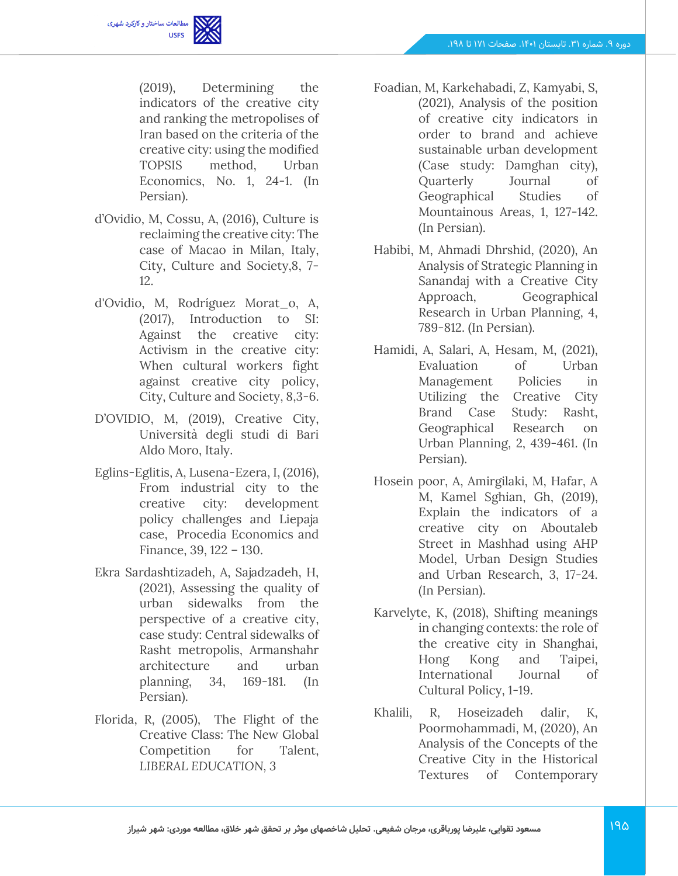

(2019), Determining the indicators of the creative city and ranking the metropolises of Iran based on the criteria of the creative city: using the modified TOPSIS method, Urban Economics, No. 1, 24-1. (In Persian).

- d'Ovidio, M, Cossu, A, (2016), Culture is reclaiming the creative city: The case of Macao in Milan, Italy, City, Culture and Society,8, 7- 12.
- d'Ovidio, M, Rodríguez Morat\_o, A, (2017), Introduction to SI: Against the creative city: Activism in the creative city: When cultural workers fight against creative city policy, City, Culture and Society, 8,3-6.
- D'OVIDIO, M, (2019), Creative City, Università degli studi di Bari Aldo Moro, Italy.
- Eglins-Eglitis, A, Lusena-Ezera, I, (2016), From industrial city to the creative city: development policy challenges and Liepaja case, Procedia Economics and Finance, 39, 122 – 130.
- Ekra Sardashtizadeh, A, Sajadzadeh, H, (2021), Assessing the quality of urban sidewalks from the perspective of a creative city, case study: Central sidewalks of Rasht metropolis, Armanshahr architecture and urban planning, 34, 169-181. (In Persian).
- Florida, R, (2005), The Flight of the Creative Class: The New Global Competition for Talent, *LIBERAL EDUCATION, 3*
- Foadian, M, Karkehabadi, Z, Kamyabi, S, (2021), Analysis of the position of creative city indicators in order to brand and achieve sustainable urban development (Case study: Damghan city), Quarterly Journal of Geographical Studies of Mountainous Areas, 1, 127-142. (In Persian).
- Habibi, M, Ahmadi Dhrshid, (2020), An Analysis of Strategic Planning in Sanandaj with a Creative City Approach, Geographical Research in Urban Planning, 4, 789-812. (In Persian).
- Hamidi, A, Salari, A, Hesam, M, (2021), Evaluation of Urban Management Policies in Utilizing the Creative City Brand Case Study: Rasht, Geographical Research on Urban Planning, 2, 439-461. (In Persian).
- Hosein poor, A, Amirgilaki, M, Hafar, A M, Kamel Sghian, Gh, (2019), Explain the indicators of a creative city on Aboutaleb Street in Mashhad using AHP Model, Urban Design Studies and Urban Research, 3, 17-24. (In Persian).
- Karvelyte, K, (2018), Shifting meanings in changing contexts: the role of the creative city in Shanghai, Hong Kong and Taipei, International Journal of Cultural Policy, 1-19.
- Khalili, R, Hoseizadeh dalir, K, Poormohammadi, M, (2020), An Analysis of the Concepts of the Creative City in the Historical Textures of Contemporary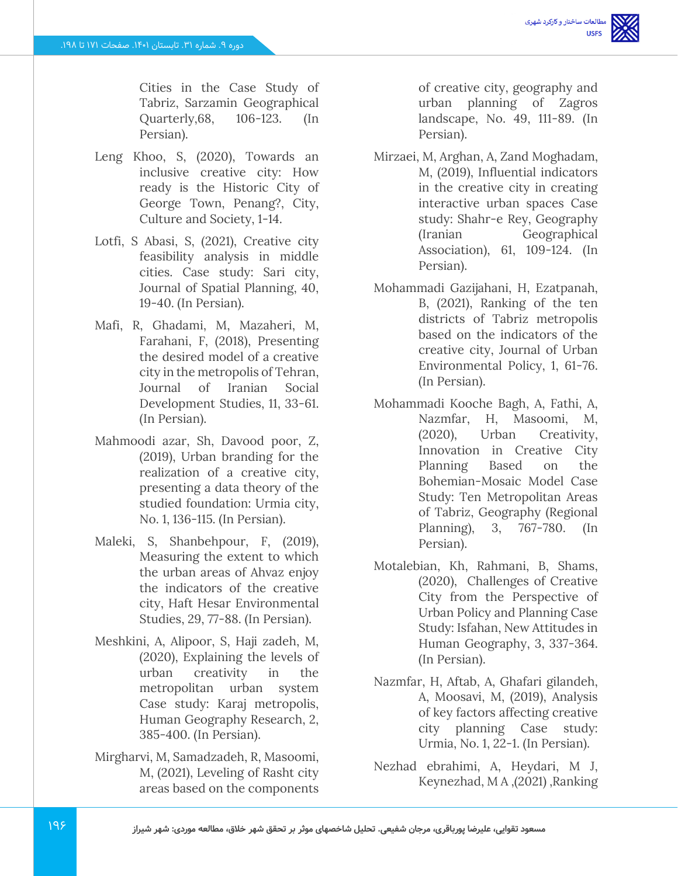

Cities in the Case Study of Tabriz, Sarzamin Geographical Quarterly,68, 106-123. (In Persian).

- Leng Khoo, S, (2020), Towards an inclusive creative city: How ready is the Historic City of George Town, Penang?, City, Culture and Society, 1-14.
- Lotfi, S Abasi, S, (2021), Creative city feasibility analysis in middle cities. Case study: Sari city, Journal of Spatial Planning, 40, 19-40. (In Persian).
- Mafi, R, Ghadami, M, Mazaheri, M, Farahani, F, (2018), Presenting the desired model of a creative city in the metropolis of Tehran, Journal of Iranian Social Development Studies, 11, 33-61. (In Persian).
- Mahmoodi azar, Sh, Davood poor, Z, (2019), Urban branding for the realization of a creative city, presenting a data theory of the studied foundation: Urmia city, No. 1, 136-115. (In Persian).
- Maleki, S, Shanbehpour, F, (2019), Measuring the extent to which the urban areas of Ahvaz enjoy the indicators of the creative city, Haft Hesar Environmental Studies, 29, 77-88. (In Persian).
- Meshkini, A, Alipoor, S, Haji zadeh, M, (2020), Explaining the levels of urban creativity in the metropolitan urban system Case study: Karaj metropolis, Human Geography Research, 2, 385-400. (In Persian).
- Mirgharvi, M, Samadzadeh, R, Masoomi, M, (2021), Leveling of Rasht city areas based on the components

of creative city, geography and urban planning of Zagros landscape, No. 49, 111-89. (In Persian).

- Mirzaei, M, Arghan, A, Zand Moghadam, M, (2019), Influential indicators in the creative city in creating interactive urban spaces Case study: Shahr-e Rey, Geography (Iranian Geographical Association), 61, 109-124. (In Persian).
- Mohammadi Gazijahani, H, Ezatpanah, B, (2021), Ranking of the ten districts of Tabriz metropolis based on the indicators of the creative city, Journal of Urban Environmental Policy, 1, 61-76. (In Persian).
- Mohammadi Kooche Bagh, A, Fathi, A, Nazmfar, H, Masoomi, M, (2020), Urban Creativity, Innovation in Creative City Planning Based on the Bohemian-Mosaic Model Case Study: Ten Metropolitan Areas of Tabriz, Geography (Regional Planning), 3, 767-780. (In Persian).
- Motalebian, Kh, Rahmani, B, Shams, (2020), Challenges of Creative City from the Perspective of Urban Policy and Planning Case Study: Isfahan, New Attitudes in Human Geography, 3, 337-364. (In Persian).
- Nazmfar, H, Aftab, A, Ghafari gilandeh, A, Moosavi, M, (2019), Analysis of key factors affecting creative city planning Case study: Urmia, No. 1, 22-1. (In Persian).
- Nezhad ebrahimi, A, Heydari, M J, Keynezhad, M A ,(2021) ,Ranking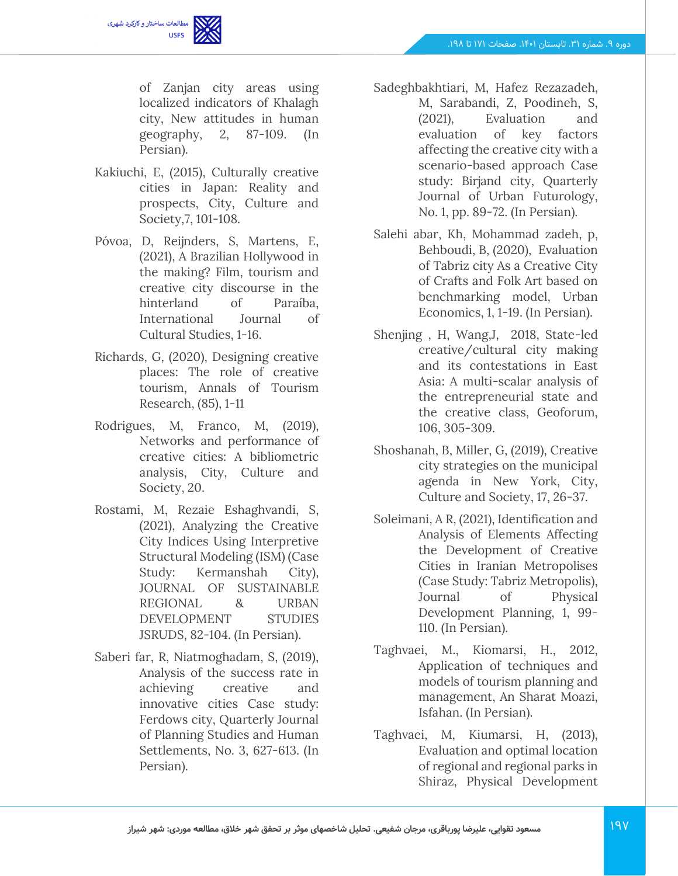

of Zanjan city areas using localized indicators of Khalagh city, New attitudes in human geography, 2, 87-109. (In Persian).

- Kakiuchi, E, (2015), Culturally creative cities in Japan: Reality and prospects, City, Culture and Society,7, 101-108.
- Póvoa, D, Reijnders, S, Martens, E, (2021), A Brazilian Hollywood in the making? Film, tourism and creative city discourse in the hinterland of Paraíba, International Journal of Cultural Studies, 1-16.
- Richards, G, (2020), Designing creative places: The role of creative tourism, Annals of Tourism Research, (85), 1-11
- Rodrigues, M, Franco, M, (2019), Networks and performance of creative cities: A bibliometric analysis, City, Culture and Society, 20.
- Rostami, M, Rezaie Eshaghvandi, S, (2021), Analyzing the Creative City Indices Using Interpretive Structural Modeling (ISM) (Case Study: Kermanshah City), JOURNAL OF SUSTAINABLE REGIONAL & URBAN DEVELOPMENT STUDIES JSRUDS, 82-104. (In Persian).
- Saberi far, R, Niatmoghadam, S, (2019), Analysis of the success rate in achieving creative and innovative cities Case study: Ferdows city, Quarterly Journal of Planning Studies and Human Settlements, No. 3, 627-613. (In Persian).
- Sadeghbakhtiari, M, Hafez Rezazadeh, M, Sarabandi, Z, Poodineh, S, (2021), Evaluation and evaluation of key factors affecting the creative city with a scenario-based approach Case study: Birjand city, Quarterly Journal of Urban Futurology, No. 1, pp. 89-72. (In Persian).
- Salehi abar, Kh, Mohammad zadeh, p, Behboudi, B, (2020), Evaluation of Tabriz city As a Creative City of Crafts and Folk Art based on benchmarking model, Urban Economics, 1, 1-19. (In Persian).
- Shenjing , H, Wang,J, 2018, State-led creative/cultural city making and its contestations in East Asia: A multi-scalar analysis of the entrepreneurial state and the creative class, Geoforum, 106, 305-309.
- Shoshanah, B, Miller, G, (2019), Creative city strategies on the municipal agenda in New York, City, Culture and Society, 17, 26-37.
- Soleimani, A R, (2021), Identification and Analysis of Elements Affecting the Development of Creative Cities in Iranian Metropolises (Case Study: Tabriz Metropolis), Journal of Physical Development Planning, 1, 99- 110. (In Persian).
- Taghvaei, M., Kiomarsi, H., 2012, Application of techniques and models of tourism planning and management, An Sharat Moazi, Isfahan. (In Persian).
- Taghvaei, M, Kiumarsi, H, (2013), Evaluation and optimal location of regional and regional parks in Shiraz, Physical Development